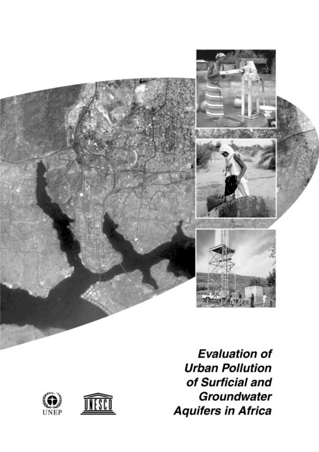

**Evaluation of Urban Pollution** of Surficial and Groundwater **Aquifers in Africa** 

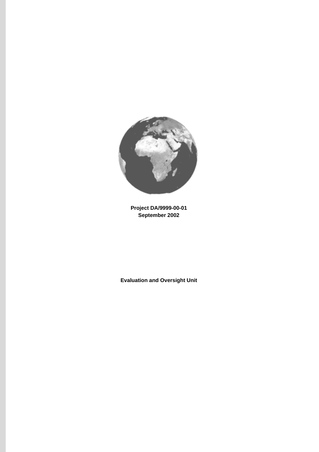

**Project DA/9999-00-01 September 2002**

**Evaluation and Oversight Unit**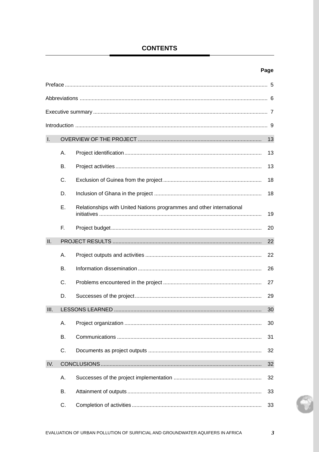# **CONTENTS**

# Page

| $\mathbf{I}$ . |           |                                                                      | 13 |
|----------------|-----------|----------------------------------------------------------------------|----|
|                | Α.        |                                                                      | 13 |
|                | В.        |                                                                      | 13 |
|                | C.        |                                                                      | 18 |
|                | D.        |                                                                      | 18 |
|                | Ε.        | Relationships with United Nations programmes and other international | 19 |
|                | F.        |                                                                      | 20 |
| II.            |           |                                                                      | 22 |
|                | Α.        |                                                                      | 22 |
|                | <b>B.</b> |                                                                      | 26 |
|                | C.        |                                                                      | 27 |
|                | D.        |                                                                      | 29 |
| III.           |           |                                                                      | 30 |
|                | Α.        |                                                                      | 30 |
|                | В.        |                                                                      | 31 |
|                | C.        |                                                                      | 32 |
| IV.            |           |                                                                      | 32 |
|                | А.        |                                                                      | 32 |
|                | В.        |                                                                      | 33 |
|                | C.        |                                                                      | 33 |

P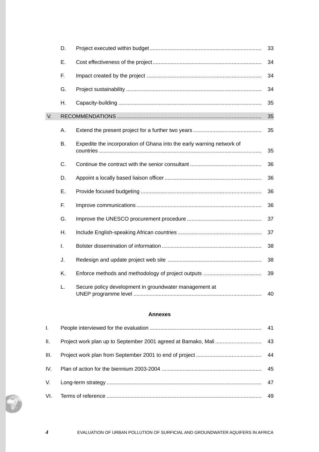|    | D.        |                                                                       | 33 |
|----|-----------|-----------------------------------------------------------------------|----|
|    | Ε.        |                                                                       | 34 |
|    | F.        |                                                                       | 34 |
|    | G.        |                                                                       | 34 |
|    | Η.        |                                                                       | 35 |
| V. |           |                                                                       | 35 |
|    | Α.        |                                                                       | 35 |
|    | <b>B.</b> | Expedite the incorporation of Ghana into the early warning network of | 35 |
|    | C.        |                                                                       | 36 |
|    | D.        |                                                                       | 36 |
|    | Ε.        |                                                                       | 36 |
|    | F.        |                                                                       | 36 |
|    | G.        |                                                                       | 37 |
|    | Η.        |                                                                       | 37 |
|    | I.        |                                                                       | 38 |
|    | J.        |                                                                       | 38 |
|    | K.        |                                                                       | 39 |
|    | L.        | Secure policy development in groundwater management at                | 40 |

## **Annexes**

| $\mathbf{L}$ |    |
|--------------|----|
| Ш.           |    |
| III.         |    |
| IV.          |    |
| V.           |    |
|              | 49 |

*4* EVALUATION OF URBAN POLLUTION OF SURFICIAL AND GROUNDWATER AQUIFERS IN AFRICA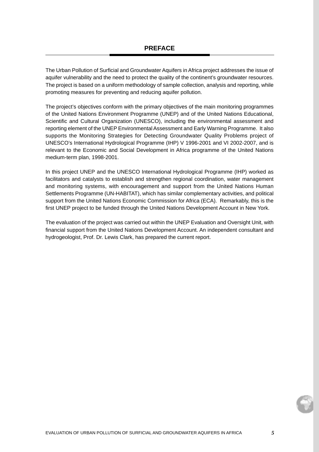The Urban Pollution of Surficial and Groundwater Aquifers in Africa project addresses the issue of aquifer vulnerability and the need to protect the quality of the continent's groundwater resources. The project is based on a uniform methodology of sample collection, analysis and reporting, while promoting measures for preventing and reducing aquifer pollution.

The project's objectives conform with the primary objectives of the main monitoring programmes of the United Nations Environment Programme (UNEP) and of the United Nations Educational, Scientific and Cultural Organization (UNESCO), including the environmental assessment and reporting element of the UNEP Environmental Assessment and Early Warning Programme. It also supports the Monitoring Strategies for Detecting Groundwater Quality Problems project of UNESCO's International Hydrological Programme (IHP) V 1996-2001 and VI 2002-2007, and is relevant to the Economic and Social Development in Africa programme of the United Nations medium-term plan, 1998-2001.

In this project UNEP and the UNESCO International Hydrological Programme (IHP) worked as facilitators and catalysts to establish and strengthen regional coordination, water management and monitoring systems, with encouragement and support from the United Nations Human Settlements Programme (UN-HABITAT), which has similar complementary activities, and political support from the United Nations Economic Commission for Africa (ECA). Remarkably, this is the first UNEP project to be funded through the United Nations Development Account in New York.

The evaluation of the project was carried out within the UNEP Evaluation and Oversight Unit, with financial support from the United Nations Development Account. An independent consultant and hydrogeologist, Prof. Dr. Lewis Clark, has prepared the current report.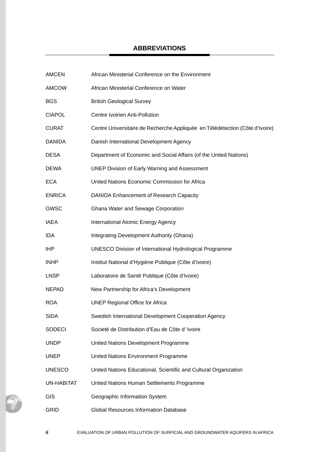# **ABBREVIATIONS**

| <b>AMCEN</b>      | African Ministerial Conference on the Environment                            |
|-------------------|------------------------------------------------------------------------------|
| <b>AMCOW</b>      | African Ministerial Conference on Water                                      |
| <b>BGS</b>        | <b>British Geological Survey</b>                                             |
| <b>CIAPOL</b>     | Centre Ivoirien Anti-Pollution                                               |
| <b>CURAT</b>      | Centre Universitaire de Recherche Appliquée en Télédétection (Côte d'Ivoire) |
| <b>DANIDA</b>     | Danish International Development Agency                                      |
| <b>DESA</b>       | Department of Economic and Social Affairs (of the United Nations)            |
| <b>DEWA</b>       | <b>UNEP Division of Early Warning and Assessment</b>                         |
| <b>ECA</b>        | United Nations Economic Commission for Africa                                |
| <b>ENRICA</b>     | DANIDA Enhancement of Research Capacity                                      |
| <b>GWSC</b>       | Ghana Water and Sewage Corporation                                           |
| IAEA              | International Atomic Energy Agency                                           |
| IDA               | Integrating Development Authority (Ghana)                                    |
| <b>IHP</b>        | <b>UNESCO Division of International Hydrological Programme</b>               |
| <b>INHP</b>       | Institut National d'Hygiène Publique (Côte d'Ivoire)                         |
| <b>LNSP</b>       | Laboratoire de Santé Publique (Côte d'Ivoire)                                |
| <b>NEPAD</b>      | New Partnership for Africa's Development                                     |
| <b>ROA</b>        | <b>UNEP Regional Office for Africa</b>                                       |
| <b>SIDA</b>       | Swedish International Development Cooperation Agency                         |
| <b>SODECI</b>     | Societé de Distribution d'Eau de Côte d'Ivoire                               |
| <b>UNDP</b>       | United Nations Development Programme                                         |
| <b>UNEP</b>       | United Nations Environment Programme                                         |
| <b>UNESCO</b>     | United Nations Educational, Scientific and Cultural Organization             |
| <b>UN-HABITAT</b> | United Nations Human Settlements Programme                                   |
| GIS               | Geographic Information System                                                |
| <b>GRID</b>       | Global Resources Information Database                                        |

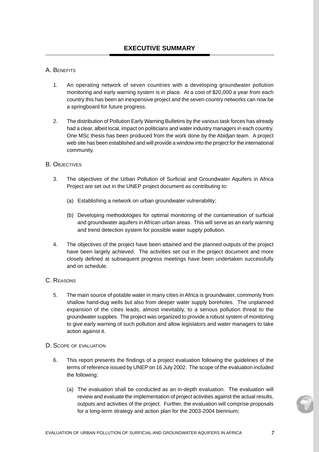## A. BENEFITS

- 1. An operating network of seven countries with a developing groundwater pollution monitoring and early warning system is in place. At a cost of \$20,000 a year from each country this has been an inexpensive project and the seven country networks can now be a springboard for future progress.
- 2. The distribution of Pollution Early Warning Bulletins by the various task forces has already had a clear, albeit local, impact on politicians and water industry managers in each country. One MSc thesis has been produced from the work done by the Abidjan team. A project web site has been established and will provide a window into the project for the international community.

## B. OBJECTIVES

- 3. The objectives of the Urban Pollution of Surficial and Groundwater Aquifers in Africa Project are set out in the UNEP project document as contributing to:
	- (a) Establishing a network on urban groundwater vulnerability;
	- (b) Developing methodologies for optimal monitoring of the contamination of surficial and groundwater aquifers in African urban areas. This will serve as an early warning and trend detection system for possible water supply pollution.
- 4. The objectives of the project have been attained and the planned outputs of the project have been largely achieved. The activities set out in the project document and more closely defined at subsequent progress meetings have been undertaken successfully and on schedule.

## C. REASONS

5. The main source of potable water in many cities in Africa is groundwater, commonly from shallow hand-dug wells but also from deeper water supply boreholes. The unplanned expansion of the cities leads, almost inevitably, to a serious pollution threat to the groundwater supplies. The project was organized to provide a robust system of monitoring to give early warning of such pollution and allow legislators and water managers to take action against it.

## D. SCOPE OF EVALUATION

- 6. This report presents the findings of a project evaluation following the guidelines of the terms of reference issued by UNEP on 16 July 2002. The scope of the evaluation included the following:
	- (a) The evaluation shall be conducted as an in-depth evaluation. The evaluation will review and evaluate the implementation of project activities against the actual results, outputs and activities of the project. Further, the evaluation will comprise proposals for a long-term strategy and action plan for the 2003-2004 biennium;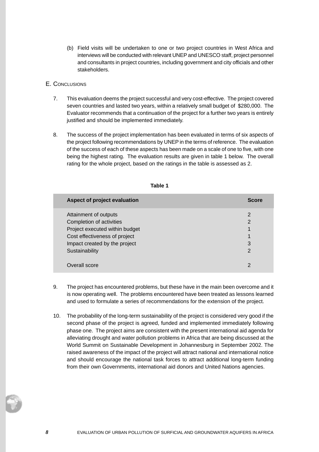(b) Field visits will be undertaken to one or two project countries in West Africa and interviews will be conducted with relevant UNEP and UNESCO staff, project personnel and consultants in project countries, including government and city officials and other stakeholders.

## E. CONCLUSIONS

- 7. This evaluation deems the project successful and very cost-effective. The project covered seven countries and lasted two years, within a relatively small budget of \$280,000. The Evaluator recommends that a continuation of the project for a further two years is entirely justified and should be implemented immediately.
- 8. The success of the project implementation has been evaluated in terms of six aspects of the project following recommendations by UNEP in the terms of reference. The evaluation of the success of each of these aspects has been made on a scale of one to five, with one being the highest rating. The evaluation results are given in table 1 below. The overall rating for the whole project, based on the ratings in the table is assessed as 2.

| Aspect of project evaluation   | <b>Score</b>   |
|--------------------------------|----------------|
| Attainment of outputs          | $\overline{2}$ |
| Completion of activities       | 2              |
| Project executed within budget |                |
| Cost effectiveness of project  |                |
| Impact created by the project  | 3              |
| Sustainability                 | $\mathcal{P}$  |
|                                |                |
| Overall score                  | າ              |
|                                |                |

## **Table 1**

- 9. The project has encountered problems, but these have in the main been overcome and it is now operating well. The problems encountered have been treated as lessons learned and used to formulate a series of recommendations for the extension of the project.
- 10. The probability of the long-term sustainability of the project is considered very good if the second phase of the project is agreed, funded and implemented immediately following phase one. The project aims are consistent with the present international aid agenda for alleviating drought and water pollution problems in Africa that are being discussed at the World Summit on Sustainable Development in Johannesburg in September 2002. The raised awareness of the impact of the project will attract national and international notice and should encourage the national task forces to attract additional long-term funding from their own Governments, international aid donors and United Nations agencies.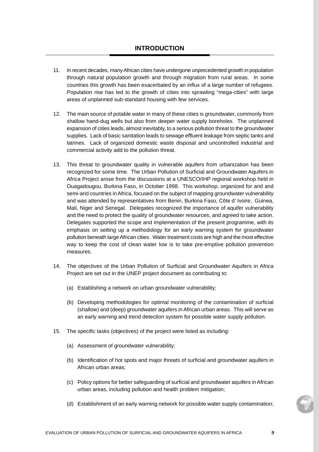- 11. In recent decades, many African cities have undergone unprecedented growth in population through natural population growth and through migration from rural areas. In some countries this growth has been exacerbated by an influx of a large number of refugees. Population rise has led to the growth of cities into sprawling "mega-cities" with large areas of unplanned sub-standard housing with few services.
- 12. The main source of potable water in many of these cities is groundwater, commonly from shallow hand-dug wells but also from deeper water supply boreholes. The unplanned expansion of cities leads, almost inevitably, to a serious pollution threat to the groundwater supplies. Lack of basic sanitation leads to sewage effluent leakage from septic tanks and latrines. Lack of organized domestic waste disposal and uncontrolled industrial and commercial activity add to the pollution threat.
- 13. This threat to groundwater quality in vulnerable aquifers from urbanization has been recognized for some time. The Urban Pollution of Surficial and Groundwater Aquifers in Africa Project arose from the discussions at a UNESCO/IHP regional workshop held in Ouagadougou, Burkina Faso, in October 1998. This workshop, organized for arid and semi-arid countries in Africa, focused on the subject of mapping groundwater vulnerability and was attended by representatives from Benin, Burkina Faso, Côte d' Ivoire, Guinea, Mali, Niger and Senegal. Delegates recognized the importance of aquifer vulnerability and the need to protect the quality of groundwater resources, and agreed to take action. Delegates supported the scope and implementation of the present programme, with its emphasis on setting up a methodology for an early warning system for groundwater pollution beneath large African cities. Water treatment costs are high and the most effective way to keep the cost of clean water low is to take pre-emptive pollution prevention measures.
- 14. The objectives of the Urban Pollution of Surficial and Groundwater Aquifers in Africa Project are set out in the UNEP project document as contributing to:
	- (a) Establishing a network on urban groundwater vulnerability;
	- (b) Developing methodologies for optimal monitoring of the contamination of surficial (shallow) and (deep) groundwater aquifers in African urban areas. This will serve as an early warning and trend detection system for possible water supply pollution.
- 15. The specific tasks (objectives) of the project were listed as including:
	- (a) Assessment of groundwater vulnerability;
	- (b) Identification of hot spots and major threats of surficial and groundwater aquifers in African urban areas;
	- (c) Policy options for better safeguarding of surficial and groundwater aquifers in African urban areas, including pollution and health problem mitigation;
	- (d) Establishment of an early warning network for possible water supply contamination;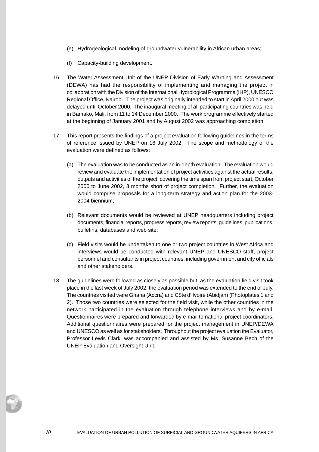- (e) Hydrogeological modeling of groundwater vulnerability in African urban areas;
- (f) Capacity-building development.
- 16. The Water Assessment Unit of the UNEP Division of Early Warning and Assessment (DEWA) has had the responsibility of implementing and managing the project in collaboration with the Division of the International Hydrological Programme (IHP), UNESCO Regional Office, Nairobi. The project was originally intended to start in April 2000 but was delayed until October 2000. The inaugural meeting of all participating countries was held in Bamako, Mali, from 11 to 14 December 2000. The work programme effectively started at the beginning of January 2001 and by August 2002 was approaching completion.
- 17. This report presents the findings of a project evaluation following guidelines in the terms of reference issued by UNEP on 16 July 2002. The scope and methodology of the evaluation were defined as follows:
	- (a) The evaluation was to be conducted as an in-depth evaluation. The evaluation would review and evaluate the implementation of project activities against the actual results, outputs and activities of the project, covering the time span from project start, October 2000 to June 2002, 3 months short of project completion. Further, the evaluation would comprise proposals for a long-term strategy and action plan for the 2003- 2004 biennium;
	- (b) Relevant documents would be reviewed at UNEP headquarters including project documents, financial reports, progress reports, review reports, guidelines, publications, bulletins, databases and web site;
	- (c) Field visits would be undertaken to one or two project countries in West Africa and interviews would be conducted with relevant UNEP and UNESCO staff, project personnel and consultants in project countries, including government and city officials and other stakeholders.
- 18. The guidelines were followed as closely as possible but, as the evaluation field visit took place in the last week of July 2002, the evaluation period was extended to the end of July. The countries visited were Ghana (Accra) and Côte d' Ivoire (Abidjan) (Photoplates 1 and 2). Those two countries were selected for the field visit, while the other countries in the network participated in the evaluation through telephone interviews and by e-mail. Questionnaires were prepared and forwarded by e-mail to national project coordinators. Additional questionnaires were prepared for the project management in UNEP/DEWA and UNESCO as well as for stakeholders. Throughout the project evaluation the Evaluator, Professor Lewis Clark, was accompanied and assisted by Ms. Susanne Bech of the UNEP Evaluation and Oversight Unit.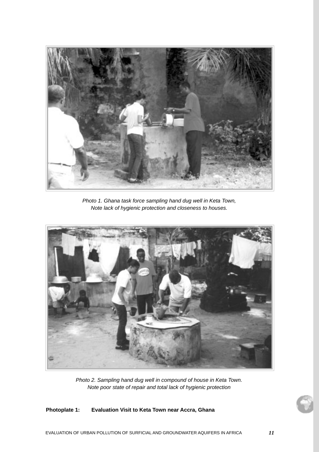

Photo 1. Ghana task force sampling hand dug well in Keta Town, Note lack of hygienic protection and closeness to houses.



Photo 2. Sampling hand dug well in compound of house in Keta Town. Note poor state of repair and total lack of hygienic protection

## **Photoplate 1: Evaluation Visit to Keta Town near Accra, Ghana**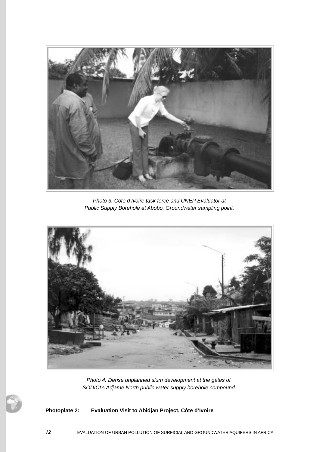

Photo 3. Côte d'Ivoire task force and UNEP Evaluator at Public Supply Borehole at Abobo. Groundwater sampling point.



Photo 4. Dense unplanned slum development at the gates of SODICI's Adjame North public water supply borehole compound

## **Photoplate 2: Evaluation Visit to Abidjan Project, Côte d'Ivoire**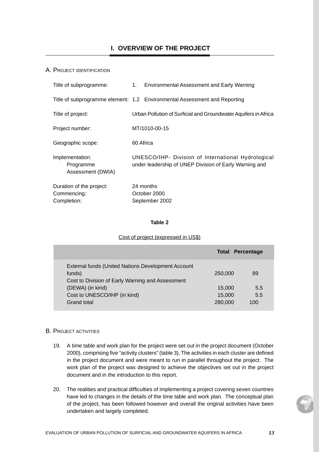### A. PROJECT IDENTIFICATION

| Title of subprogramme:                                 | 1. Environmental Assessment and Early Warning                                                                |
|--------------------------------------------------------|--------------------------------------------------------------------------------------------------------------|
|                                                        | Title of subprogramme element: 1.2 Environmental Assessment and Reporting                                    |
| Title of project:                                      | Urban Pollution of Surficial and Groundwater Aquifers in Africa                                              |
| Project number:                                        | MT/1010-00-15                                                                                                |
| Geographic scope:                                      | 60 Africa                                                                                                    |
| Implementation:<br>Programme<br>Assessment (DWIA)      | UNESCO/IHP- Division of International Hydrological<br>under leadership of UNEP Division of Early Warning and |
| Duration of the project:<br>Commencing:<br>Completion: | 24 months<br>October 2000<br>September 2002                                                                  |

### **Table 2**

#### Cost of project (expressed in US\$)

|                                                           | <b>Total Percentage</b> |     |
|-----------------------------------------------------------|-------------------------|-----|
| <b>External funds (United Nations Development Account</b> |                         |     |
| funds)                                                    | 250,000                 | 89  |
| Cost to Division of Early Warning and Assessment          |                         |     |
| (DEWA) (in kind)                                          | 15,000                  | 5.5 |
| Cost to UNESCO/IHP (in kind)                              | 15,000                  | 5.5 |
| Grand total                                               | 280,000                 | 100 |
|                                                           |                         |     |

#### B. PROJECT ACTIVITIES

- 19. A time table and work plan for the project were set out in the project document (October 2000), comprising five "activity clusters" (table 3), The activities in each cluster are defined in the project document and were meant to run in parallel throughout the project. The work plan of the project was designed to achieve the objectives set out in the project document and in the introduction to this report.
- 20. The realities and practical difficulties of implementing a project covering seven countries have led to changes in the details of the time table and work plan. The conceptual plan of the project, has been followed however and overall the original activities have been undertaken and largely completed.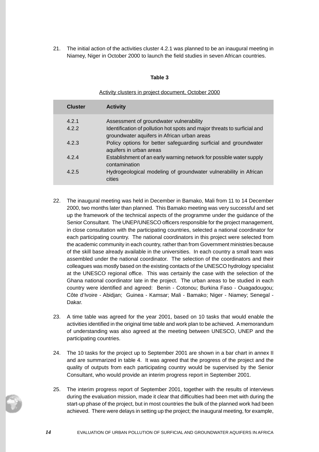21. The initial action of the activities cluster 4.2.1 was planned to be an inaugural meeting in Niamey, Niger in October 2000 to launch the field studies in seven African countries.

### **Table 3**

Activity clusters in project document, October 2000

| <b>Cluster</b> | <b>Activity</b>                                                                                                         |
|----------------|-------------------------------------------------------------------------------------------------------------------------|
| 421            | Assessment of groundwater vulnerability                                                                                 |
| 4.2.2          | Identification of pollution hot spots and major threats to surficial and<br>groundwater aquifers in African urban areas |
| 4.2.3          | Policy options for better safeguarding surficial and groundwater<br>aquifers in urban areas                             |
| 424            | Establishment of an early warning network for possible water supply<br>contamination                                    |
| 425            | Hydrogeological modeling of groundwater vulnerability in African<br>cities                                              |

- 22. The inaugural meeting was held in December in Bamako, Mali from 11 to 14 December 2000, two months later than planned. This Bamako meeting was very successful and set up the framework of the technical aspects of the programme under the guidance of the Senior Consultant. The UNEP/UNESCO officers responsible for the project management, in close consultation with the participating countries, selected a national coordinator for each participating country. The national coordinators in this project were selected from the academic community in each country, rather than from Government ministries because of the skill base already available in the universities. In each country a small team was assembled under the national coordinator. The selection of the coordinators and their colleagues was mostly based on the existing contacts of the UNESCO hydrology specialist at the UNESCO regional office. This was certainly the case with the selection of the Ghana national coordinator late in the project. The urban areas to be studied in each country were identified and agreed: Benin - Cotonou; Burkina Faso - Ouagadougou; Côte d'Ivoire - Abidjan; Guinea - Kamsar; Mali - Bamako; Niger - Niamey; Senegal - Dakar.
- 23. A time table was agreed for the year 2001, based on 10 tasks that would enable the activities identified in the original time table and work plan to be achieved. A memorandum of understanding was also agreed at the meeting between UNESCO, UNEP and the participating countries.
- 24. The 10 tasks for the project up to September 2001 are shown in a bar chart in annex II and are summarized in table 4. It was agreed that the progress of the project and the quality of outputs from each participating country would be supervised by the Senior Consultant, who would provide an interim progress report in September 2001.
- 25. The interim progress report of September 2001, together with the results of interviews during the evaluation mission, made it clear that difficulties had been met with during the start-up phase of the project, but in most countries the bulk of the planned work had been achieved. There were delays in setting up the project; the inaugural meeting, for example,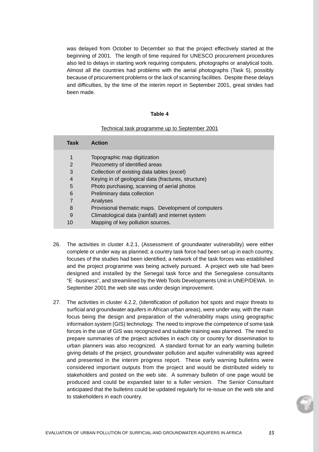was delayed from October to December so that the project effectively started at the beginning of 2001. The length of time required for UNESCO procurement procedures also led to delays in starting work requiring computers, photographs or analytical tools. Almost all the countries had problems with the aerial photographs (Task 5), possibly because of procurement problems or the lack of scanning facilities. Despite these delays and difficulties, by the time of the interim report in September 2001, great strides had been made.

#### **Table 4**

#### Technical task programme up to September 2001

| Task           | <b>Action</b>                                       |
|----------------|-----------------------------------------------------|
| 1              | Topographic map digitization                        |
| $\overline{2}$ | Piezometry of identified areas                      |
| 3              | Collection of existing data tables (excel)          |
| $\overline{4}$ | Keying in of geological data (fractures, structure) |
| 5              | Photo purchasing, scanning of aerial photos         |
| 6              | Preliminary data collection                         |
| 7              | Analyses                                            |
| 8              | Provisional thematic maps. Development of computers |
| 9              | Climatological data (rainfall) and internet system  |
| 10             | Mapping of key pollution sources.                   |

- 26. The activities in cluster 4.2.1, (Assessment of groundwater vulnerability) were either complete or under way as planned; a country task force had been set up in each country, focuses of the studies had been identified, a network of the task forces was established and the project programme was being actively pursued. A project web site had been designed and installed by the Senegal task force and the Senegalese consultants "E -business", and streamlined by the Web Tools Developments Unit in UNEP/DEWA. In September 2001 the web site was under design improvement.
- 27. The activities in cluster 4.2.2, (Identification of pollution hot spots and major threats to surficial and groundwater aquifers in African urban areas), were under way, with the main focus being the design and preparation of the vulnerability maps using geographic information system (GIS) technology. The need to improve the competence of some task forces in the use of GIS was recognized and suitable training was planned. The need to prepare summaries of the project activities in each city or country for dissemination to urban planners was also recognized. A standard format for an early warning bulletin giving details of the project, groundwater pollution and aquifer vulnerability was agreed and presented in the interim progress report. These early warning bulletins were considered important outputs from the project and would be distributed widely to stakeholders and posted on the web site. A summary bulletin of one page would be produced and could be expanded later to a fuller version. The Senior Consultant anticipated that the bulletins could be updated regularly for re-issue on the web site and to stakeholders in each country.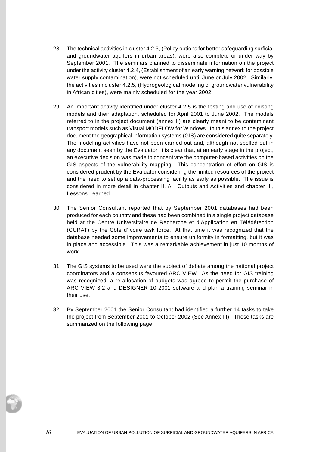- 28. The technical activities in cluster 4.2.3, (Policy options for better safeguarding surficial and groundwater aquifers in urban areas), were also complete or under way by September 2001. The seminars planned to disseminate information on the project under the activity cluster 4.2.4, (Establishment of an early warning network for possible water supply contamination), were not scheduled until June or July 2002. Similarly, the activities in cluster 4.2.5, (Hydrogeological modeling of groundwater vulnerability in African cities), were mainly scheduled for the year 2002.
- 29. An important activity identified under cluster 4.2.5 is the testing and use of existing models and their adaptation, scheduled for April 2001 to June 2002. The models referred to in the project document (annex II) are clearly meant to be contaminant transport models such as Visual MODFLOW for Windows. In this annex to the project document the geographical information systems (GIS) are considered quite separately. The modeling activities have not been carried out and, although not spelled out in any document seen by the Evaluator, it is clear that, at an early stage in the project, an executive decision was made to concentrate the computer-based activities on the GIS aspects of the vulnerability mapping. This concentration of effort on GIS is considered prudent by the Evaluator considering the limited resources of the project and the need to set up a data-processing facility as early as possible. The issue is considered in more detail in chapter II, A. Outputs and Activities and chapter III, Lessons Learned.
- 30. The Senior Consultant reported that by September 2001 databases had been produced for each country and these had been combined in a single project database held at the Centre Universitaire de Recherche et d'Application en Télédétection (CURAT) by the Côte d'Ivoire task force. At that time it was recognized that the database needed some improvements to ensure uniformity in formatting, but it was in place and accessible. This was a remarkable achievement in just 10 months of work.
- 31. The GIS systems to be used were the subject of debate among the national project coordinators and a consensus favoured ARC VIEW. As the need for GIS training was recognized, a re-allocation of budgets was agreed to permit the purchase of ARC VIEW 3.2 and DESIGNER 10-2001 software and plan a training seminar in their use.
- 32. By September 2001 the Senior Consultant had identified a further 14 tasks to take the project from September 2001 to October 2002 (See Annex III). These tasks are summarized on the following page: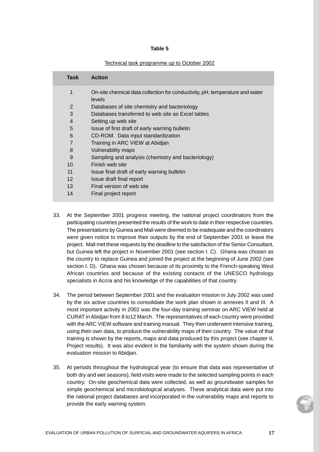#### **Table 5**

#### Technical task programme up to October 2002

| Task              | <b>Action</b>                                                                          |
|-------------------|----------------------------------------------------------------------------------------|
| 1                 | On-site chemical data collection for conductivity, pH, temperature and water<br>levels |
| 2                 | Databases of site chemistry and bacteriology                                           |
| 3                 | Databases transferred to web site as Excel tables                                      |
| $\overline{4}$    | Setting up web site                                                                    |
| 5                 | Issue of first draft of early warning bulletin                                         |
| 6                 | CD-ROM. Data input standardization                                                     |
| $\overline{7}$    | Training in ARC VIEW at Abidjan                                                        |
| 8                 | Vulnerability maps                                                                     |
| 9                 | Sampling and analysis (chemistry and bacteriology)                                     |
| 10                | Finish web site                                                                        |
| 11                | Issue final draft of early warning bulletin                                            |
| $12 \overline{ }$ | Issue draft final report                                                               |
| 13                | Final version of web site                                                              |
| 14                | Final project report                                                                   |

- 33. At the September 2001 progress meeting, the national project coordinators from the participating countries presented the results of the work to date in their respective countries. The presentations by Guinea and Mali were deemed to be inadequate and the coordinators were given notice to improve their outputs by the end of September 2001 or leave the project. Mali met these requests by the deadline to the satisfaction of the Senior Consultant, but Guinea left the project in November 2001 (see section I. C). Ghana was chosen as the country to replace Guinea and joined the project at the beginning of June 2002 (see section I. D). Ghana was chosen because of its proximity to the French-speaking West African countries and because of the existing contacts of the UNESCO hydrology specialists in Accra and his knowledge of the capabilities of that country.
- 34. The period between September 2001 and the evaluation mission in July 2002 was used by the six active countries to consolidate the work plan shown in annexes II and III. A most important activity in 2002 was the four-day training seminar on ARC VIEW held at CURAT in Abidjan from 8 to12 March. The representatives of each country were provided with the ARC VIEW software and training manual. They then underwent intensive training, using their own data, to produce the vulnerability maps of their country. The value of that training is shown by the reports, maps and data produced by this project (see chapter II, Project results). It was also evident in the familiarity with the system shown during the evaluation mission to Abidjan.
- 35. At periods throughout the hydrological year (to ensure that data was representative of both dry and wet seasons), field visits were made to the selected sampling points in each country. On-site geochemical data were collected, as well as groundwater samples for simple geochemical and microbiological analyses. These analytical data were put into the national project databases and incorporated in the vulnerability maps and reports to provide the early warning system.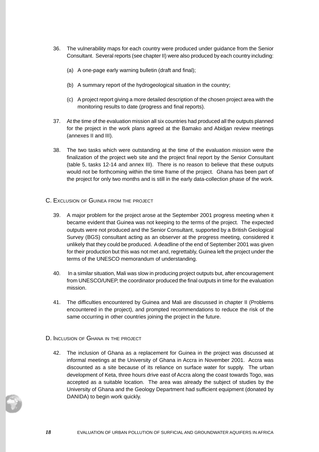- 36. The vulnerability maps for each country were produced under guidance from the Senior Consultant. Several reports (see chapter II) were also produced by each country including:
	- (a) A one-page early warning bulletin (draft and final);
	- (b) A summary report of the hydrogeological situation in the country;
	- (c) A project report giving a more detailed description of the chosen project area with the monitoring results to date (progress and final reports).
- 37. At the time of the evaluation mission all six countries had produced all the outputs planned for the project in the work plans agreed at the Bamako and Abidjan review meetings (annexes II and III).
- 38. The two tasks which were outstanding at the time of the evaluation mission were the finalization of the project web site and the project final report by the Senior Consultant (table 5, tasks 12-14 and annex III). There is no reason to believe that these outputs would not be forthcoming within the time frame of the project. Ghana has been part of the project for only two months and is still in the early data-collection phase of the work.
- C. EXCLUSION OF GUINEA FROM THE PROJECT
	- 39. A major problem for the project arose at the September 2001 progress meeting when it became evident that Guinea was not keeping to the terms of the project. The expected outputs were not produced and the Senior Consultant, supported by a British Geological Survey (BGS) consultant acting as an observer at the progress meeting, considered it unlikely that they could be produced. A deadline of the end of September 2001 was given for their production but this was not met and, regrettably, Guinea left the project under the terms of the UNESCO memorandum of understanding.
	- 40. In a similar situation, Mali was slow in producing project outputs but, after encouragement from UNESCO/UNEP, the coordinator produced the final outputs in time for the evaluation mission.
	- 41. The difficulties encountered by Guinea and Mali are discussed in chapter II (Problems encountered in the project), and prompted recommendations to reduce the risk of the same occurring in other countries joining the project in the future.
- D. INCLUSION OF GHANA IN THE PROJECT
	- 42. The inclusion of Ghana as a replacement for Guinea in the project was discussed at informal meetings at the University of Ghana in Accra in November 2001. Accra was discounted as a site because of its reliance on surface water for supply. The urban development of Keta, three hours drive east of Accra along the coast towards Togo, was accepted as a suitable location. The area was already the subject of studies by the University of Ghana and the Geology Department had sufficient equipment (donated by DANIDA) to begin work quickly.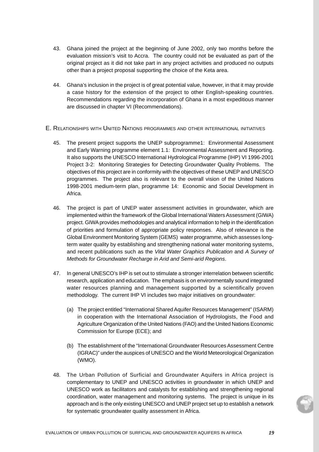- 43. Ghana joined the project at the beginning of June 2002, only two months before the evaluation mission's visit to Accra. The country could not be evaluated as part of the original project as it did not take part in any project activities and produced no outputs other than a project proposal supporting the choice of the Keta area.
- 44. Ghana's inclusion in the project is of great potential value, however, in that it may provide a case history for the extension of the project to other English-speaking countries. Recommendations regarding the incorporation of Ghana in a most expeditious manner are discussed in chapter VI (Recommendations).
- E. RELATIONSHIPS WITH UNITED NATIONS PROGRAMMES AND OTHER INTERNATIONAL INITIATIVES
	- 45. The present project supports the UNEP subprogramme1: Environmental Assessment and Early Warning programme element 1.1: Environmental Assessment and Reporting. It also supports the UNESCO International Hydrological Programme (IHP) VI 1996-2001 Project 3-2: Monitoring Strategies for Detecting Groundwater Quality Problems. The objectives of this project are in conformity with the objectives of these UNEP and UNESCO programmes. The project also is relevant to the overall vision of the United Nations 1998-2001 medium-term plan, programme 14: Economic and Social Development in Africa.
	- 46. The project is part of UNEP water assessment activities in groundwater, which are implemented within the framework of the Global International Waters Assessment (GIWA) project. GIWA provides methodologies and analytical information to help in the identification of priorities and formulation of appropriate policy responses. Also of relevance is the Global Environment Monitoring System (GEMS) water programme, which assesses longterm water quality by establishing and strengthening national water monitoring systems, and recent publications such as the Vital Water Graphics Publication and A Survey of Methods for Groundwater Recharge in Arid and Semi-arid Regions.
	- 47. In general UNESCO's IHP is set out to stimulate a stronger interrelation between scientific research, application and education. The emphasis is on environmentally sound integrated water resources planning and management supported by a scientifically proven methodology. The current IHP VI includes two major initiatives on groundwater:
		- (a) The project entitled "International Shared Aquifer Resources Management" (ISARM) in cooperation with the International Association of Hydrologists, the Food and Agriculture Organization of the United Nations (FAO) and the United Nations Economic Commission for Europe (ECE); and
		- (b) The establishment of the "International Groundwater Resources Assessment Centre (IGRAC)" under the auspices of UNESCO and the World Meteorological Organization (WMO).
	- 48. The Urban Pollution of Surficial and Groundwater Aquifers in Africa project is complementary to UNEP and UNESCO activities in groundwater in which UNEP and UNESCO work as facilitators and catalysts for establishing and strengthening regional coordination, water management and monitoring systems. The project is unique in its approach and is the only existing UNESCO and UNEP project set up to establish a network for systematic groundwater quality assessment in Africa.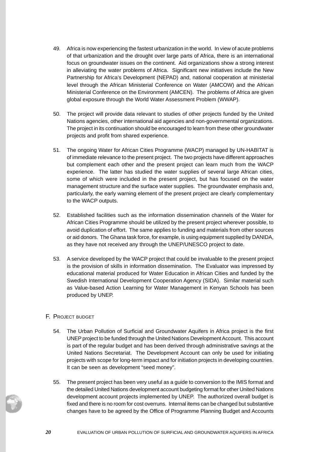- 49. Africa is now experiencing the fastest urbanization in the world. In view of acute problems of that urbanization and the drought over large parts of Africa, there is an international focus on groundwater issues on the continent. Aid organizations show a strong interest in alleviating the water problems of Africa. Significant new initiatives include the New Partnership for Africa's Development (NEPAD) and, national cooperation at ministerial level through the African Ministerial Conference on Water (AMCOW) and the African Ministerial Conference on the Environment (AMCEN). The problems of Africa are given global exposure through the World Water Assessment Problem (WWAP).
- 50. The project will provide data relevant to studies of other projects funded by the United Nations agencies, other international aid agencies and non-governmental organizations. The project in its continuation should be encouraged to learn from these other groundwater projects and profit from shared experience.
- 51. The ongoing Water for African Cities Programme (WACP) managed by UN-HABITAT is of immediate relevance to the present project. The two projects have different approaches but complement each other and the present project can learn much from the WACP experience. The latter has studied the water supplies of several large African cities, some of which were included in the present project, but has focused on the water management structure and the surface water supplies. The groundwater emphasis and, particularly, the early warning element of the present project are clearly complementary to the WACP outputs.
- 52. Established facilities such as the information dissemination channels of the Water for African Cities Programme should be utilized by the present project wherever possible, to avoid duplication of effort. The same applies to funding and materials from other sources or aid donors. The Ghana task force, for example, is using equipment supplied by DANIDA, as they have not received any through the UNEP/UNESCO project to date.
- 53. A service developed by the WACP project that could be invaluable to the present project is the provision of skills in information dissemination. The Evaluator was impressed by educational material produced for Water Education in African Cities and funded by the Swedish International Development Cooperation Agency (SIDA). Similar material such as Value-based Action Learning for Water Management in Kenyan Schools has been produced by UNEP.

## F. PROJECT BUDGET

- 54. The Urban Pollution of Surficial and Groundwater Aquifers in Africa project is the first UNEP project to be funded through the United Nations Development Account. This account is part of the regular budget and has been derived through administrative savings at the United Nations Secretariat. The Development Account can only be used for initiating projects with scope for long-term impact and for initiation projects in developing countries. It can be seen as development "seed money".
- 55. The present project has been very useful as a guide to conversion to the IMIS format and the detailed United Nations development account budgeting format for other United Nations development account projects implemented by UNEP. The authorized overall budget is fixed and there is no room for cost overruns. Internal items can be changed but substantive changes have to be agreed by the Office of Programme Planning Budget and Accounts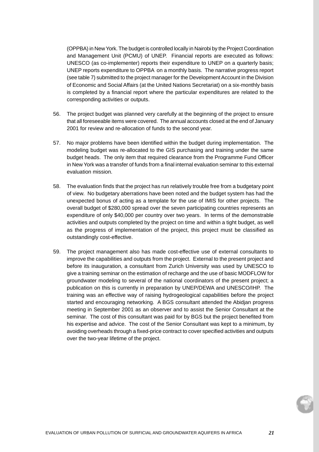(OPPBA) in New York. The budget is controlled locally in Nairobi by the Project Coordination and Management Unit (PCMU) of UNEP. Financial reports are executed as follows: UNESCO (as co-implementer) reports their expenditure to UNEP on a quarterly basis; UNEP reports expenditure to OPPBA on a monthly basis. The narrative progress report (see table 7) submitted to the project manager for the Development Account in the Division of Economic and Social Affairs (at the United Nations Secretariat) on a six-monthly basis is completed by a financial report where the particular expenditures are related to the corresponding activities or outputs.

- 56. The project budget was planned very carefully at the beginning of the project to ensure that all foreseeable items were covered. The annual accounts closed at the end of January 2001 for review and re-allocation of funds to the second year.
- 57. No major problems have been identified within the budget during implementation. The modeling budget was re-allocated to the GIS purchasing and training under the same budget heads. The only item that required clearance from the Programme Fund Officer in New York was a transfer of funds from a final internal evaluation seminar to this external evaluation mission.
- 58. The evaluation finds that the project has run relatively trouble free from a budgetary point of view. No budgetary aberrations have been noted and the budget system has had the unexpected bonus of acting as a template for the use of IMIS for other projects. The overall budget of \$280,000 spread over the seven participating countries represents an expenditure of only \$40,000 per country over two years. In terms of the demonstrable activities and outputs completed by the project on time and within a tight budget, as well as the progress of implementation of the project, this project must be classified as outstandingly cost-effective.
- 59. The project management also has made cost-effective use of external consultants to improve the capabilities and outputs from the project. External to the present project and before its inauguration, a consultant from Zurich University was used by UNESCO to give a training seminar on the estimation of recharge and the use of basic MODFLOW for groundwater modeling to several of the national coordinators of the present project; a publication on this is currently in preparation by UNEP/DEWA and UNESCO/IHP. The training was an effective way of raising hydrogeological capabilities before the project started and encouraging networking. A BGS consultant attended the Abidjan progress meeting in September 2001 as an observer and to assist the Senior Consultant at the seminar. The cost of this consultant was paid for by BGS but the project benefited from his expertise and advice. The cost of the Senior Consultant was kept to a minimum, by avoiding overheads through a fixed-price contract to cover specified activities and outputs over the two-year lifetime of the project.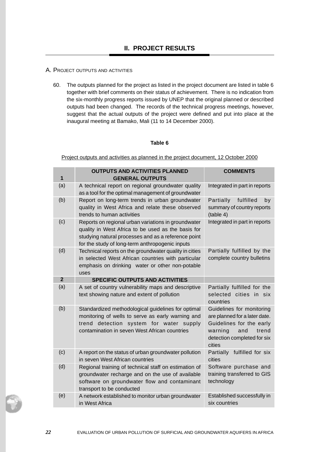### A. PROJECT OUTPUTS AND ACTIVITIES

60. The outputs planned for the project as listed in the project document are listed in table 6 together with brief comments on their status of achievement. There is no indication from the six-monthly progress reports issued by UNEP that the original planned or described outputs had been changed. The records of the technical progress meetings, however, suggest that the actual outputs of the project were defined and put into place at the inaugural meeting at Bamako, Mali (11 to 14 December 2000).

#### **Table 6**

Project outputs and activities as planned in the project document, 12 October 2000

|                | <b>OUTPUTS AND ACTIVITIES PLANNED</b>                                                                                                                                                                               | <b>COMMENTS</b>                                                                                                                                            |  |
|----------------|---------------------------------------------------------------------------------------------------------------------------------------------------------------------------------------------------------------------|------------------------------------------------------------------------------------------------------------------------------------------------------------|--|
| 1              | <b>GENERAL OUTPUTS</b>                                                                                                                                                                                              |                                                                                                                                                            |  |
| (a)            | A technical report on regional groundwater quality<br>as a tool for the optimal management of groundwater                                                                                                           | Integrated in part in reports                                                                                                                              |  |
| (b)            | Report on long-term trends in urban groundwater<br>quality in West Africa and relate these observed<br>trends to human activities                                                                                   | Partially<br>fulfilled<br>by<br>summary of country reports<br>(table 4)                                                                                    |  |
| (c)            | Reports on regional urban variations in groundwater<br>quality in West Africa to be used as the basis for<br>studying natural processes and as a reference point<br>for the study of long-term anthropogenic inputs | Integrated in part in reports                                                                                                                              |  |
| (d)            | Technical reports on the groundwater quality in cities<br>in selected West African countries with particular<br>emphasis on drinking water or other non-potable<br>uses                                             | Partially fulfilled by the<br>complete country bulletins                                                                                                   |  |
| $\overline{2}$ | <b>SPECIFIC OUTPUTS AND ACTIVITIES</b>                                                                                                                                                                              |                                                                                                                                                            |  |
| (a)            | A set of country vulnerability maps and descriptive<br>text showing nature and extent of pollution                                                                                                                  | Partially fulfilled for the<br>selected cities in six<br>countries                                                                                         |  |
| (b)            | Standardized methodological guidelines for optimal<br>monitoring of wells to serve as early warning and<br>trend detection system for water supply<br>contamination in seven West African countries                 | Guidelines for monitoring<br>are planned for a later date.<br>Guidelines for the early<br>warning<br>and<br>trend<br>detection completed for six<br>cities |  |
| (c)            | A report on the status of urban groundwater pollution<br>in seven West African countries                                                                                                                            | Partially fulfilled for six<br>cities                                                                                                                      |  |
| (d)            | Regional training of technical staff on estimation of<br>groundwater recharge and on the use of available<br>software on groundwater flow and contaminant<br>transport to be conducted                              | Software purchase and<br>training transferred to GIS<br>technology                                                                                         |  |
| (e)            | A network established to monitor urban groundwater<br>in West Africa                                                                                                                                                | Established successfully in<br>six countries                                                                                                               |  |

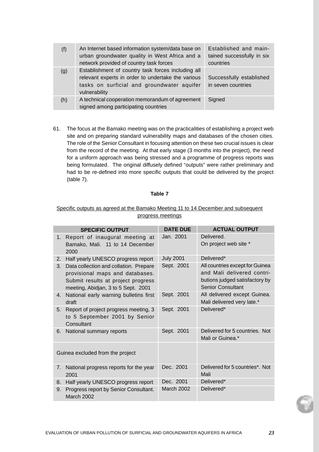| (f) | An Internet based information system/data base on<br>urban groundwater quality in West Africa and a<br>network provided of country task forces                          | Established and main-<br>tained successfully in six<br>countries |
|-----|-------------------------------------------------------------------------------------------------------------------------------------------------------------------------|------------------------------------------------------------------|
| (g) | Establishment of country task forces including all<br>relevant experts in order to undertake the various<br>tasks on surficial and groundwater aquifer<br>vulnerability | Successfully established<br>in seven countries                   |
| (h) | A technical cooperation memorandum of agreement<br>signed among participating countries                                                                                 | Signed                                                           |

61. The focus at the Bamako meeting was on the practicalities of establishing a project web site and on preparing standard vulnerability maps and databases of the chosen cities. The role of the Senior Consultant in focusing attention on these two crucial issues is clear from the record of the meeting. At that early stage (3 months into the project), the need for a uniform approach was being stressed and a programme of progress reports was being formulated. The original diffusely defined "outputs" were rather preliminary and had to be re-defined into more specific outputs that could be delivered by the project (table 7).

## **Table 7**

## Specific outputs as agreed at the Bamako Meeting 11 to 14 December and subsequent progress meetings

|                                  | <b>SPECIFIC OUTPUT</b>                                                                                                                                 | <b>DATE DUE</b>   | <b>ACTUAL OUTPUT</b>                                                                                                        |
|----------------------------------|--------------------------------------------------------------------------------------------------------------------------------------------------------|-------------------|-----------------------------------------------------------------------------------------------------------------------------|
|                                  | 1. Report of inaugural meeting at<br>Bamako, Mali. 11 to 14 December<br>2000                                                                           | Jan. 2001         | Delivered.<br>On project web site *                                                                                         |
| 2.                               | Half yearly UNESCO progress report                                                                                                                     | <b>July 2001</b>  | Delivered*                                                                                                                  |
| 3.                               | Data collection and collation. Prepare<br>provisional maps and databases.<br>Submit results at project progress<br>meeting, Abidjan, 3 to 5 Sept. 2001 | Sept. 2001        | All countries except for Guinea<br>and Mali delivered contri-<br>butions judged satisfactory by<br><b>Senior Consultant</b> |
| 4.                               | National early warning bulletins first<br>draft                                                                                                        | Sept. 2001        | All delivered except Guinea.<br>Mali delivered very late.*                                                                  |
| 5.                               | Report of project progress meeting, 3<br>to 5 September 2001 by Senior<br>Consultant                                                                   | Sept. 2001        | Delivered*                                                                                                                  |
|                                  | 6. National summary reports                                                                                                                            | Sept. 2001        | Delivered for 5 countries. Not<br>Mali or Guinea.*                                                                          |
| Guinea excluded from the project |                                                                                                                                                        |                   |                                                                                                                             |
| 7.                               | National progress reports for the year<br>2001                                                                                                         | Dec. 2001         | Delivered for 5 countries*. Not<br>Mali                                                                                     |
| 8.                               | Half yearly UNESCO progress report                                                                                                                     | Dec. 2001         | Delivered*                                                                                                                  |
| 9.                               | Progress report by Senior Consultant.<br>March 2002                                                                                                    | <b>March 2002</b> | Delivered*                                                                                                                  |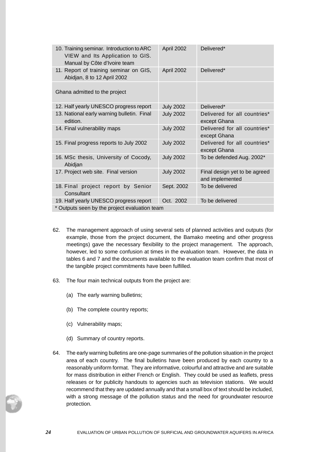| 10. Training seminar. Introduction to ARC<br>VIEW and Its Application to GIS.<br>Manual by Côte d'Ivoire team | April 2002       | Delivered*                                       |  |  |  |  |
|---------------------------------------------------------------------------------------------------------------|------------------|--------------------------------------------------|--|--|--|--|
| 11. Report of training seminar on GIS,<br>Abidjan, 8 to 12 April 2002                                         | April 2002       | Delivered*                                       |  |  |  |  |
| Ghana admitted to the project                                                                                 |                  |                                                  |  |  |  |  |
| 12. Half yearly UNESCO progress report                                                                        | <b>July 2002</b> | Delivered*                                       |  |  |  |  |
| 13. National early warning bulletin. Final<br>edition.                                                        | <b>July 2002</b> | Delivered for all countries*<br>except Ghana     |  |  |  |  |
| 14. Final vulnerability maps                                                                                  | <b>July 2002</b> | Delivered for all countries*<br>except Ghana     |  |  |  |  |
| 15. Final progress reports to July 2002                                                                       | <b>July 2002</b> | Delivered for all countries*<br>except Ghana     |  |  |  |  |
| 16. MSc thesis, University of Cocody,<br>Abidjan                                                              | <b>July 2002</b> | To be defended Aug. 2002*                        |  |  |  |  |
| 17. Project web site. Final version                                                                           | <b>July 2002</b> | Final design yet to be agreed<br>and implemented |  |  |  |  |
| 18. Final project report by Senior<br>Consultant                                                              | Sept. 2002       | To be delivered                                  |  |  |  |  |
| 19. Half yearly UNESCO progress report                                                                        | Oct. 2002        | To be delivered                                  |  |  |  |  |
| * Outpute seen by the project evaluation team                                                                 |                  |                                                  |  |  |  |  |

\* Outputs seen by the project evaluation team

- 62. The management approach of using several sets of planned activities and outputs (for example, those from the project document, the Bamako meeting and other progress meetings) gave the necessary flexibility to the project management. The approach, however, led to some confusion at times in the evaluation team. However, the data in tables 6 and 7 and the documents available to the evaluation team confirm that most of the tangible project commitments have been fulfilled.
- 63. The four main technical outputs from the project are:
	- (a) The early warning bulletins;
	- (b) The complete country reports;
	- (c) Vulnerability maps;
	- (d) Summary of country reports.
- 64. The early warning bulletins are one-page summaries of the pollution situation in the project area of each country. The final bulletins have been produced by each country to a reasonably uniform format. They are informative, colourful and attractive and are suitable for mass distribution in either French or English. They could be used as leaflets, press releases or for publicity handouts to agencies such as television stations. We would recommend that they are updated annually and that a small box of text should be included, with a strong message of the pollution status and the need for groundwater resource protection.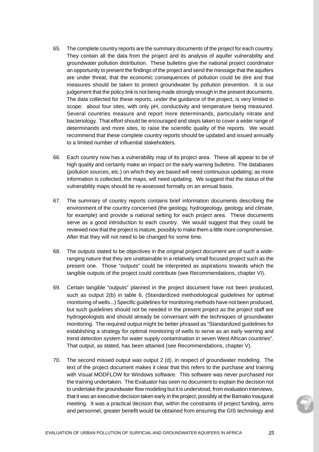- 65. The complete country reports are the summary documents of the project for each country. They contain all the data from the project and its analysis of aquifer vulnerability and groundwater pollution distribution. These bulletins give the national project coordinator an opportunity to present the findings of the project and send the message that the aquifers are under threat, that the economic consequences of pollution could be dire and that measures should be taken to protect groundwater by pollution prevention. It is our judgement that the policy link is not being made strongly enough in the present documents. The data collected for these reports, under the guidance of the project, is very limited in scope: about four sites, with only pH, conductivity and temperature being measured. Several countries measure and report more determinands, particularly nitrate and bacteriology. That effort should be encouraged and steps taken to cover a wider range of determinands and more sites, to raise the scientific quality of the reports. We would recommend that these complete country reports should be updated and issued annually to a limited number of influential stakeholders.
- 66. Each country now has a vulnerability map of its project area. These all appear to be of high quality and certainly make an impact on the early warning bulletins. The databases (pollution sources, etc.) on which they are based will need continuous updating; as more information is collected, the maps, will need updating. We suggest that the status of the vulnerability maps should be re-assessed formally on an annual basis.
- 67. The summary of country reports contains brief information documents describing the environment of the country concerned (the geology, hydrogeology, geology and climate, for example) and provide a national setting for each project area. These documents serve as a good introduction to each country. We would suggest that they could be reviewed now that the project is mature, possibly to make them a little more comprehensive. After that they will not need to be changed for some time.
- 68. The outputs stated to be objectives in the original project document are of such a wideranging nature that they are unattainable in a relatively small focused project such as the present one. Those "outputs" could be interpreted as aspirations towards which the tangible outputs of the project could contribute (see Recommendations, chapter VI).
- 69. Certain tangible "outputs" planned in the project document have not been produced, such as output 2(b) in table 6, (Standardized methodological guidelines for optimal monitoring of wells...) Specific guidelines for monitoring methods have not been produced, but such guidelines should not be needed in the present project as the project staff are hydrogeologists and should already be conversant with the techniques of groundwater monitoring. The required output might be better phrased as "Standardized guidelines for establishing a strategy for optimal monitoring of wells to serve as an early warning and trend detection system for water supply contamination in seven West African countries". That output, as stated, has been attained (see Recommendations, chapter V).
- 70. The second missed output was output 2 (d), in respect of groundwater modeling. The text of the project document makes it clear that this refers to the purchase and training with Visual MODFLOW for Windows software. This software was never purchased nor the training undertaken. The Evaluator has seen no document to explain the decision not to undertake the groundwater flow modeling but it is understood, from evaluation interviews, that it was an executive decision taken early in the project, possibly at the Bamako inaugural meeting. It was a practical decision that, within the constraints of project funding, aims and personnel, greater benefit would be obtained from ensuring the GIS technology and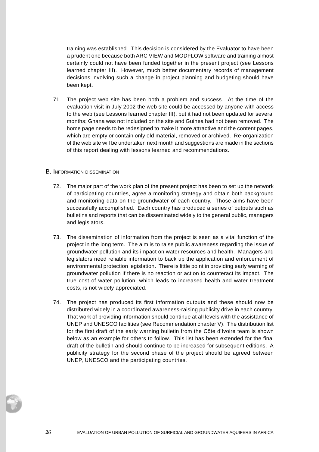training was established. This decision is considered by the Evaluator to have been a prudent one because both ARC VIEW and MODFLOW software and training almost certainly could not have been funded together in the present project (see Lessons learned chapter III). However, much better documentary records of management decisions involving such a change in project planning and budgeting should have been kept.

71. The project web site has been both a problem and success. At the time of the evaluation visit in July 2002 the web site could be accessed by anyone with access to the web (see Lessons learned chapter III), but it had not been updated for several months; Ghana was not included on the site and Guinea had not been removed. The home page needs to be redesigned to make it more attractive and the content pages, which are empty or contain only old material, removed or archived. Re-organization of the web site will be undertaken next month and suggestions are made in the sections of this report dealing with lessons learned and recommendations.

#### B. INFORMATION DISSEMINATION

- 72. The major part of the work plan of the present project has been to set up the network of participating countries, agree a monitoring strategy and obtain both background and monitoring data on the groundwater of each country. Those aims have been successfully accomplished. Each country has produced a series of outputs such as bulletins and reports that can be disseminated widely to the general public, managers and legislators.
- 73. The dissemination of information from the project is seen as a vital function of the project in the long term. The aim is to raise public awareness regarding the issue of groundwater pollution and its impact on water resources and health. Managers and legislators need reliable information to back up the application and enforcement of environmental protection legislation. There is little point in providing early warning of groundwater pollution if there is no reaction or action to counteract its impact. The true cost of water pollution, which leads to increased health and water treatment costs, is not widely appreciated.
- 74. The project has produced its first information outputs and these should now be distributed widely in a coordinated awareness-raising publicity drive in each country. That work of providing information should continue at all levels with the assistance of UNEP and UNESCO facilities (see Recommendation chapter V). The distribution list for the first draft of the early warning bulletin from the Côte d'Ivoire team is shown below as an example for others to follow. This list has been extended for the final draft of the bulletin and should continue to be increased for subsequent editions. A publicity strategy for the second phase of the project should be agreed between UNEP, UNESCO and the participating countries.

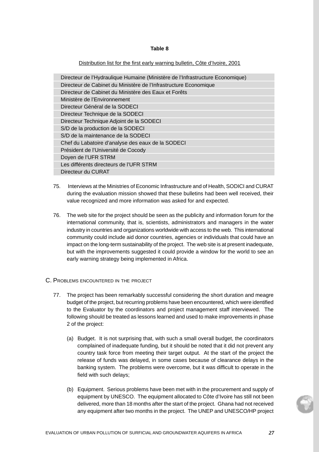#### **Table 8**

#### Distribution list for the first early warning bulletin, Côte d'Ivoire, 2001

| Directeur de l'Hydraulique Humaine (Ministère de l'Infrastructure Economique) |
|-------------------------------------------------------------------------------|
| Directeur de Cabinet du Ministère de l'Infrastructure Economique              |
| Directeur de Cabinet du Ministère des Eaux et Forêts                          |
| Ministère de l'Environnement                                                  |
| Directeur Général de la SODECI                                                |
| Directeur Technique de la SODECI                                              |
| Directeur Technique Adjoint de la SODECI                                      |
| S/D de la production de la SODECI                                             |
| S/D de la maintenance de la SODECI                                            |
| Chef du Labatoire d'analyse des eaux de la SODECI                             |
| Président de l'Université de Cocody                                           |
| Doyen de l'UFR STRM                                                           |
| Les différents directeurs de l'UFR STRM                                       |
| Directeur du CURAT                                                            |

- 75. Interviews at the Ministries of Economic Infrastructure and of Health, SODICI and CURAT during the evaluation mission showed that these bulletins had been well received, their value recognized and more information was asked for and expected.
- 76. The web site for the project should be seen as the publicity and information forum for the international community, that is, scientists, administrators and managers in the water industry in countries and organizations worldwide with access to the web. This international community could include aid donor countries, agencies or individuals that could have an impact on the long-term sustainability of the project. The web site is at present inadequate, but with the improvements suggested it could provide a window for the world to see an early warning strategy being implemented in Africa.
- C. PROBLEMS ENCOUNTERED IN THE PROJECT
	- 77. The project has been remarkably successful considering the short duration and meagre budget of the project, but recurring problems have been encountered, which were identified to the Evaluator by the coordinators and project management staff interviewed. The following should be treated as lessons learned and used to make improvements in phase 2 of the project:
		- (a) Budget. It is not surprising that, with such a small overall budget, the coordinators complained of inadequate funding, but it should be noted that it did not prevent any country task force from meeting their target output. At the start of the project the release of funds was delayed, in some cases because of clearance delays in the banking system. The problems were overcome, but it was difficult to operate in the field with such delays;
		- (b) Equipment. Serious problems have been met with in the procurement and supply of equipment by UNESCO. The equipment allocated to Côte d'Ivoire has still not been delivered, more than 18 months after the start of the project. Ghana had not received any equipment after two months in the project. The UNEP and UNESCO/HP project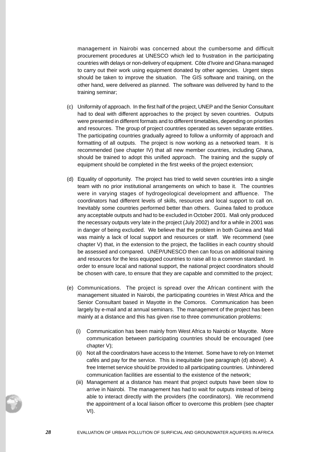management in Nairobi was concerned about the cumbersome and difficult procurement procedures at UNESCO which led to frustration in the participating countries with delays or non-delivery of equipment. Côte d'Ivoire and Ghana managed to carry out their work using equipment donated by other agencies. Urgent steps should be taken to improve the situation. The GIS software and training, on the other hand, were delivered as planned. The software was delivered by hand to the training seminar;

- (c) Uniformity of approach. In the first half of the project, UNEP and the Senior Consultant had to deal with different approaches to the project by seven countries. Outputs were presented in different formats and to different timetables, depending on priorities and resources. The group of project countries operated as seven separate entities. The participating countries gradually agreed to follow a uniformity of approach and formatting of all outputs. The project is now working as a networked team. It is recommended (see chapter IV) that all new member countries, including Ghana, should be trained to adopt this unified approach. The training and the supply of equipment should be completed in the first weeks of the project extension;
- (d) Equality of opportunity. The project has tried to weld seven countries into a single team with no prior institutional arrangements on which to base it. The countries were in varying stages of hydrogeological development and affluence. The coordinators had different levels of skills, resources and local support to call on. Inevitably some countries performed better than others. Guinea failed to produce any acceptable outputs and had to be excluded in October 2001. Mali only produced the necessary outputs very late in the project (July 2002) and for a while in 2001 was in danger of being excluded. We believe that the problem in both Guinea and Mali was mainly a lack of local support and resources or staff. We recommend (see chapter V) that, in the extension to the project, the facilities in each country should be assessed and compared. UNEP/UNESCO then can focus on additional training and resources for the less equipped countries to raise all to a common standard. In order to ensure local and national support, the national project coordinators should be chosen with care, to ensure that they are capable and committed to the project;
- (e) Communications. The project is spread over the African continent with the management situated in Nairobi, the participating countries in West Africa and the Senior Consultant based in Mayotte in the Comoros. Communication has been largely by e-mail and at annual seminars. The management of the project has been mainly at a distance and this has given rise to three communication problems:
	- (i) Communication has been mainly from West Africa to Nairobi or Mayotte. More communication between participating countries should be encouraged (see chapter V);
	- (ii) Not all the coordinators have access to the Internet. Some have to rely on Internet cafés and pay for the service. This is inequitable (see paragraph (d) above). A free Internet service should be provided to all participating countries. Unhindered communication facilities are essential to the existence of the network;
	- (iii) Management at a distance has meant that project outputs have been slow to arrive in Nairobi. The management has had to wait for outputs instead of being able to interact directly with the providers (the coordinators). We recommend the appointment of a local liaison officer to overcome this problem (see chapter VI).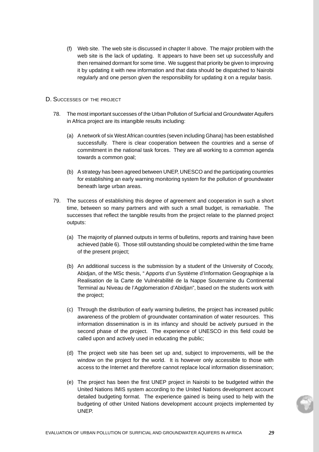(f) Web site. The web site is discussed in chapter II above. The major problem with the web site is the lack of updating. It appears to have been set up successfully and then remained dormant for some time. We suggest that priority be given to improving it by updating it with new information and that data should be dispatched to Nairobi regularly and one person given the responsibility for updating it on a regular basis.

#### D. SUCCESSES OF THE PROJECT

- 78. The most important successes of the Urban Pollution of Surficial and Groundwater Aquifers in Africa project are its intangible results including:
	- (a) A network of six West African countries (seven including Ghana) has been established successfully. There is clear cooperation between the countries and a sense of commitment in the national task forces. They are all working to a common agenda towards a common goal;
	- (b) A strategy has been agreed between UNEP, UNESCO and the participating countries for establishing an early warning monitoring system for the pollution of groundwater beneath large urban areas.
- 79. The success of establishing this degree of agreement and cooperation in such a short time, between so many partners and with such a small budget, is remarkable. The successes that reflect the tangible results from the project relate to the planned project outputs:
	- (a) The majority of planned outputs in terms of bulletins, reports and training have been achieved (table 6). Those still outstanding should be completed within the time frame of the present project;
	- (b) An additional success is the submission by a student of the University of Cocody, Abidjan, of the MSc thesis, " Apports d'un Système d'Information Geographiqe a la Realisation de la Carte de Vulnérabilité de la Nappe Souterraine du Continental Terminal au Niveau de l'Agglomeration d'Abidjan", based on the students work with the project;
	- (c) Through the distribution of early warning bulletins, the project has increased public awareness of the problem of groundwater contamination of water resources. This information dissemination is in its infancy and should be actively pursued in the second phase of the project. The experience of UNESCO in this field could be called upon and actively used in educating the public;
	- (d) The project web site has been set up and, subject to improvements, will be the window on the project for the world. It is however only accessible to those with access to the Internet and therefore cannot replace local information dissemination;
	- (e) The project has been the first UNEP project in Nairobi to be budgeted within the United Nations IMIS system according to the United Nations development account detailed budgeting format. The experience gained is being used to help with the budgeting of other United Nations development account projects implemented by UNEP.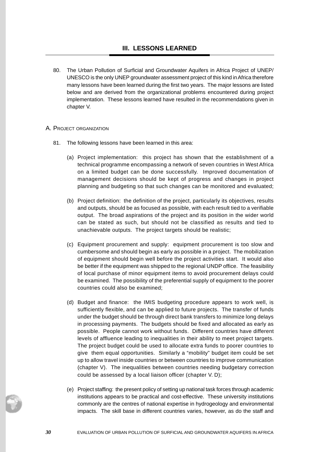80. The Urban Pollution of Surficial and Groundwater Aquifers in Africa Project of UNEP/ UNESCO is the only UNEP groundwater assessment project of this kind in Africa therefore many lessons have been learned during the first two years. The major lessons are listed below and are derived from the organizational problems encountered during project implementation. These lessons learned have resulted in the recommendations given in chapter V.

### A. PROJECT ORGANIZATION

- 81. The following lessons have been learned in this area:
	- (a) Project implementation: this project has shown that the establishment of a technical programme encompassing a network of seven countries in West Africa on a limited budget can be done successfully. Improved documentation of management decisions should be kept of progress and changes in project planning and budgeting so that such changes can be monitored and evaluated;
	- (b) Project definition: the definition of the project, particularly its objectives, results and outputs, should be as focused as possible, with each result tied to a verifiable output. The broad aspirations of the project and its position in the wider world can be stated as such, but should not be classified as results and tied to unachievable outputs. The project targets should be realistic;
	- (c) Equipment procurement and supply: equipment procurement is too slow and cumbersome and should begin as early as possible in a project. The mobilization of equipment should begin well before the project activities start. It would also be better if the equipment was shipped to the regional UNDP office. The feasibility of local purchase of minor equipment items to avoid procurement delays could be examined. The possibility of the preferential supply of equipment to the poorer countries could also be examined;
	- (d) Budget and finance: the IMIS budgeting procedure appears to work well, is sufficiently flexible, and can be applied to future projects. The transfer of funds under the budget should be through direct bank transfers to minimize long delays in processing payments. The budgets should be fixed and allocated as early as possible. People cannot work without funds. Different countries have different levels of affluence leading to inequalities in their ability to meet project targets. The project budget could be used to allocate extra funds to poorer countries to give them equal opportunities. Similarly a "mobility" budget item could be set up to allow travel inside countries or between countries to improve communication (chapter V). The inequalities between countries needing budgetary correction could be assessed by a local liaison officer (chapter V. D);
	- (e) Project staffing: the present policy of setting up national task forces through academic institutions appears to be practical and cost-effective. These university institutions commonly are the centres of national expertise in hydrogeology and environmental impacts. The skill base in different countries varies, however, as do the staff and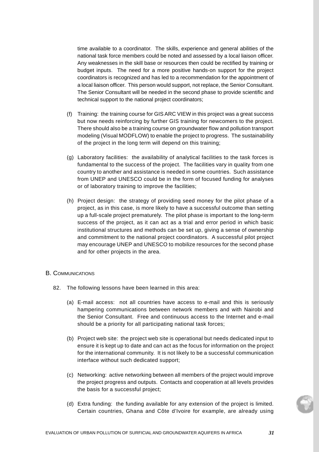time available to a coordinator. The skills, experience and general abilities of the national task force members could be noted and assessed by a local liaison officer. Any weaknesses in the skill base or resources then could be rectified by training or budget inputs. The need for a more positive hands-on support for the project coordinators is recognized and has led to a recommendation for the appointment of a local liaison officer. This person would support, not replace, the Senior Consultant. The Senior Consultant will be needed in the second phase to provide scientific and technical support to the national project coordinators;

- (f) Training: the training course for GIS ARC VIEW in this project was a great success but now needs reinforcing by further GIS training for newcomers to the project. There should also be a training course on groundwater flow and pollution transport modeling (Visual MODFLOW) to enable the project to progress. The sustainability of the project in the long term will depend on this training;
- (g) Laboratory facilities: the availability of analytical facilities to the task forces is fundamental to the success of the project. The facilities vary in quality from one country to another and assistance is needed in some countries. Such assistance from UNEP and UNESCO could be in the form of focused funding for analyses or of laboratory training to improve the facilities;
- (h) Project design: the strategy of providing seed money for the pilot phase of a project, as in this case, is more likely to have a successful outcome than setting up a full-scale project prematurely. The pilot phase is important to the long-term success of the project, as it can act as a trial and error period in which basic institutional structures and methods can be set up, giving a sense of ownership and commitment to the national project coordinators. A successful pilot project may encourage UNEP and UNESCO to mobilize resources for the second phase and for other projects in the area.

#### B. COMMUNICATIONS

- 82. The following lessons have been learned in this area:
	- (a) E-mail access: not all countries have access to e-mail and this is seriously hampering communications between network members and with Nairobi and the Senior Consultant. Free and continuous access to the Internet and e-mail should be a priority for all participating national task forces;
	- (b) Project web site: the project web site is operational but needs dedicated input to ensure it is kept up to date and can act as the focus for information on the project for the international community. It is not likely to be a successful communication interface without such dedicated support;
	- (c) Networking: active networking between all members of the project would improve the project progress and outputs. Contacts and cooperation at all levels provides the basis for a successful project;
	- (d) Extra funding: the funding available for any extension of the project is limited. Certain countries, Ghana and Côte d'Ivoire for example, are already using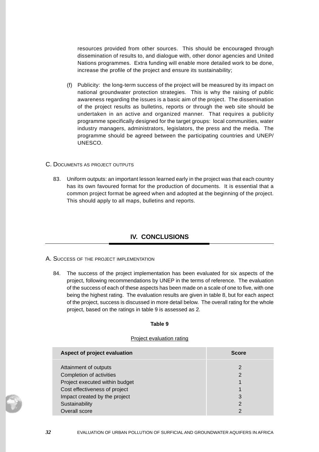resources provided from other sources. This should be encouraged through dissemination of results to, and dialogue with, other donor agencies and United Nations programmes. Extra funding will enable more detailed work to be done, increase the profile of the project and ensure its sustainability;

- (f) Publicity: the long-term success of the project will be measured by its impact on national groundwater protection strategies. This is why the raising of public awareness regarding the issues is a basic aim of the project. The dissemination of the project results as bulletins, reports or through the web site should be undertaken in an active and organized manner. That requires a publicity programme specifically designed for the target groups: local communities, water industry managers, administrators, legislators, the press and the media. The programme should be agreed between the participating countries and UNEP/ UNESCO.
- C. DOCUMENTS AS PROJECT OUTPUTS
	- 83. Uniform outputs: an important lesson learned early in the project was that each country has its own favoured format for the production of documents. It is essential that a common project format be agreed when and adopted at the beginning of the project. This should apply to all maps, bulletins and reports.

# **IV. CONCLUSIONS**

- A. SUCCESS OF THE PROJECT IMPLEMENTATION
	- 84. The success of the project implementation has been evaluated for six aspects of the project, following recommendations by UNEP in the terms of reference. The evaluation of the success of each of these aspects has been made on a scale of one to five, with one being the highest rating. The evaluation results are given in table 8, but for each aspect of the project, success is discussed in more detail below. The overall rating for the whole project, based on the ratings in table 9 is assessed as 2.

#### **Table 9**

#### Project evaluation rating

| Aspect of project evaluation   | <b>Score</b>  |
|--------------------------------|---------------|
| Attainment of outputs          | $\mathcal{P}$ |
| Completion of activities       | $\mathcal{P}$ |
| Project executed within budget |               |
| Cost effectiveness of project  |               |
| Impact created by the project  | 3             |
| Sustainability                 | 2             |
| Overall score                  | າ             |

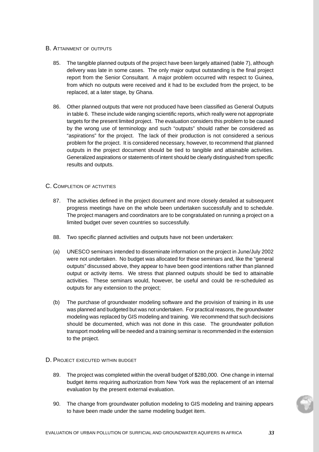### B. ATTAINMENT OF OUTPUTS

- 85. The tangible planned outputs of the project have been largely attained (table 7), although delivery was late in some cases. The only major output outstanding is the final project report from the Senior Consultant. A major problem occurred with respect to Guinea, from which no outputs were received and it had to be excluded from the project, to be replaced, at a later stage, by Ghana.
- 86. Other planned outputs that were not produced have been classified as General Outputs in table 6. These include wide ranging scientific reports, which really were not appropriate targets for the present limited project. The evaluation considers this problem to be caused by the wrong use of terminology and such "outputs" should rather be considered as "aspirations" for the project. The lack of their production is not considered a serious problem for the project. It is considered necessary, however, to recommend that planned outputs in the project document should be tied to tangible and attainable activities. Generalized aspirations or statements of intent should be clearly distinguished from specific results and outputs.

## C. COMPLETION OF ACTIVITIES

- 87. The activities defined in the project document and more closely detailed at subsequent progress meetings have on the whole been undertaken successfully and to schedule. The project managers and coordinators are to be congratulated on running a project on a limited budget over seven countries so successfully.
- 88. Two specific planned activities and outputs have not been undertaken:
- (a) UNESCO seminars intended to disseminate information on the project in June/July 2002 were not undertaken. No budget was allocated for these seminars and, like the "general outputs" discussed above, they appear to have been good intentions rather than planned output or activity items. We stress that planned outputs should be tied to attainable activities. These seminars would, however, be useful and could be re-scheduled as outputs for any extension to the project;
- (b) The purchase of groundwater modeling software and the provision of training in its use was planned and budgeted but was not undertaken. For practical reasons, the groundwater modeling was replaced by GIS modeling and training. We recommend that such decisions should be documented, which was not done in this case. The groundwater pollution transport modeling will be needed and a training seminar is recommended in the extension to the project.

## D. PROJECT EXECUTED WITHIN BUDGET

- 89. The project was completed within the overall budget of \$280,000. One change in internal budget items requiring authorization from New York was the replacement of an internal evaluation by the present external evaluation.
- 90. The change from groundwater pollution modeling to GIS modeling and training appears to have been made under the same modeling budget item.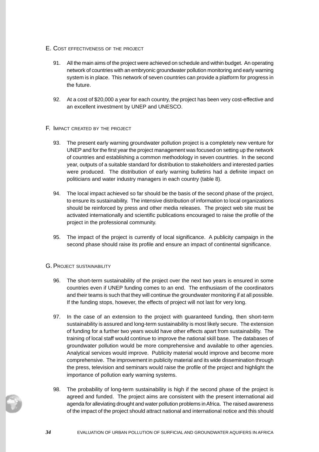- E. COST EFFECTIVENESS OF THE PROJECT
	- 91. All the main aims of the project were achieved on schedule and within budget. An operating network of countries with an embryonic groundwater pollution monitoring and early warning system is in place. This network of seven countries can provide a platform for progress in the future.
	- 92. At a cost of \$20,000 a year for each country, the project has been very cost-effective and an excellent investment by UNEP and UNESCO.
- F. IMPACT CREATED BY THE PROJECT
	- 93. The present early warning groundwater pollution project is a completely new venture for UNEP and for the first year the project management was focused on setting up the network of countries and establishing a common methodology in seven countries. In the second year, outputs of a suitable standard for distribution to stakeholders and interested parties were produced. The distribution of early warning bulletins had a definite impact on politicians and water industry managers in each country (table 8).
	- 94. The local impact achieved so far should be the basis of the second phase of the project, to ensure its sustainability. The intensive distribution of information to local organizations should be reinforced by press and other media releases. The project web site must be activated internationally and scientific publications encouraged to raise the profile of the project in the professional community.
	- 95. The impact of the project is currently of local significance. A publicity campaign in the second phase should raise its profile and ensure an impact of continental significance.

## G. PROJECT SUSTAINABILITY

- 96. The short-term sustainability of the project over the next two years is ensured in some countries even if UNEP funding comes to an end. The enthusiasm of the coordinators and their teams is such that they will continue the groundwater monitoring if at all possible. If the funding stops, however, the effects of project will not last for very long.
- 97. In the case of an extension to the project with guaranteed funding, then short-term sustainability is assured and long-term sustainability is most likely secure. The extension of funding for a further two years would have other effects apart from sustainability. The training of local staff would continue to improve the national skill base. The databases of groundwater pollution would be more comprehensive and available to other agencies. Analytical services would improve. Publicity material would improve and become more comprehensive. The improvement in publicity material and its wide dissemination through the press, television and seminars would raise the profile of the project and highlight the importance of pollution early warning systems.
- 98. The probability of long-term sustainability is high if the second phase of the project is agreed and funded. The project aims are consistent with the present international aid agenda for alleviating drought and water pollution problems in Africa. The raised awareness of the impact of the project should attract national and international notice and this should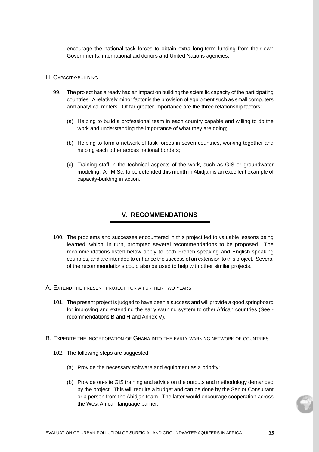encourage the national task forces to obtain extra long-term funding from their own Governments, international aid donors and United Nations agencies.

#### H. CAPACITY-BUILDING

- 99. The project has already had an impact on building the scientific capacity of the participating countries. A relatively minor factor is the provision of equipment such as small computers and analytical meters. Of far greater importance are the three relationship factors:
	- (a) Helping to build a professional team in each country capable and willing to do the work and understanding the importance of what they are doing;
	- (b) Helping to form a network of task forces in seven countries, working together and helping each other across national borders;
	- (c) Training staff in the technical aspects of the work, such as GIS or groundwater modeling. An M.Sc. to be defended this month in Abidjan is an excellent example of capacity-building in action.

## **V. RECOMMENDATIONS**

- 100. The problems and successes encountered in this project led to valuable lessons being learned, which, in turn, prompted several recommendations to be proposed. The recommendations listed below apply to both French-speaking and English-speaking countries, and are intended to enhance the success of an extension to this project. Several of the recommendations could also be used to help with other similar projects.
- A. EXTEND THE PRESENT PROJECT FOR A FURTHER TWO YEARS
	- 101. The present project is judged to have been a success and will provide a good springboard for improving and extending the early warning system to other African countries (See recommendations B and H and Annex V).
- B. EXPEDITE THE INCORPORATION OF GHANA INTO THE EARLY WARNING NETWORK OF COUNTRIES
	- 102. The following steps are suggested:
		- (a) Provide the necessary software and equipment as a priority;
		- (b) Provide on-site GIS training and advice on the outputs and methodology demanded by the project. This will require a budget and can be done by the Senior Consultant or a person from the Abidjan team. The latter would encourage cooperation across the West African language barrier.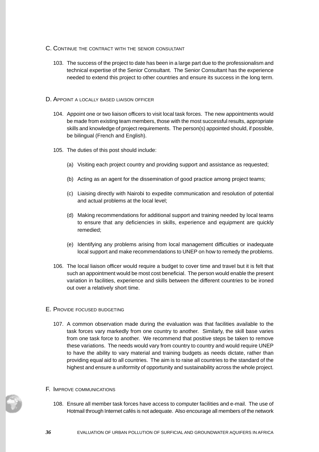- C. CONTINUE THE CONTRACT WITH THE SENIOR CONSULTANT
	- 103. The success of the project to date has been in a large part due to the professionalism and technical expertise of the Senior Consultant. The Senior Consultant has the experience needed to extend this project to other countries and ensure its success in the long term.
- D. APPOINT A LOCALLY BASED LIAISON OFFICER
	- 104. Appoint one or two liaison officers to visit local task forces. The new appointments would be made from existing team members, those with the most successful results, appropriate skills and knowledge of project requirements. The person(s) appointed should, if possible, be bilingual (French and English).
	- 105. The duties of this post should include:
		- (a) Visiting each project country and providing support and assistance as requested;
		- (b) Acting as an agent for the dissemination of good practice among project teams;
		- (c) Liaising directly with Nairobi to expedite communication and resolution of potential and actual problems at the local level;
		- (d) Making recommendations for additional support and training needed by local teams to ensure that any deficiencies in skills, experience and equipment are quickly remedied;
		- (e) Identifying any problems arising from local management difficulties or inadequate local support and make recommendations to UNEP on how to remedy the problems.
	- 106. The local liaison officer would require a budget to cover time and travel but it is felt that such an appointment would be most cost beneficial. The person would enable the present variation in facilities, experience and skills between the different countries to be ironed out over a relatively short time.
- E. PROVIDE FOCUSED BUDGETING
	- 107. A common observation made during the evaluation was that facilities available to the task forces vary markedly from one country to another. Similarly, the skill base varies from one task force to another. We recommend that positive steps be taken to remove these variations. The needs would vary from country to country and would require UNEP to have the ability to vary material and training budgets as needs dictate, rather than providing equal aid to all countries. The aim is to raise all countries to the standard of the highest and ensure a uniformity of opportunity and sustainability across the whole project.
- F. IMPROVE COMMUNICATIONS
	- 108. Ensure all member task forces have access to computer facilities and e-mail. The use of Hotmail through Internet cafés is not adequate. Also encourage all members of the network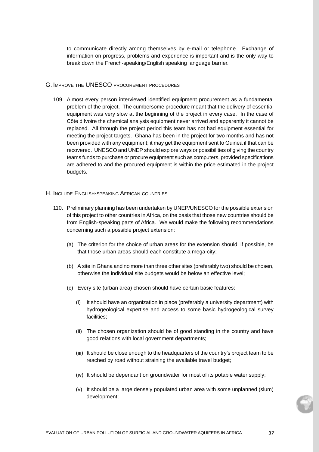to communicate directly among themselves by e-mail or telephone. Exchange of information on progress, problems and experience is important and is the only way to break down the French-speaking/English speaking language barrier.

- G. IMPROVE THE UNESCO PROCUREMENT PROCEDURES
	- 109. Almost every person interviewed identified equipment procurement as a fundamental problem of the project. The cumbersome procedure meant that the delivery of essential equipment was very slow at the beginning of the project in every case. In the case of Côte d'Ivoire the chemical analysis equipment never arrived and apparently it cannot be replaced. All through the project period this team has not had equipment essential for meeting the project targets. Ghana has been in the project for two months and has not been provided with any equipment; it may get the equipment sent to Guinea if that can be recovered. UNESCO and UNEP should explore ways or possibilities of giving the country teams funds to purchase or procure equipment such as computers, provided specifications are adhered to and the procured equipment is within the price estimated in the project budgets.
- H. INCLUDE ENGLISH-SPEAKING AFRICAN COUNTRIES
	- 110. Preliminary planning has been undertaken by UNEP/UNESCO for the possible extension of this project to other countries in Africa, on the basis that those new countries should be from English-speaking parts of Africa. We would make the following recommendations concerning such a possible project extension:
		- (a) The criterion for the choice of urban areas for the extension should, if possible, be that those urban areas should each constitute a mega-city;
		- (b) A site in Ghana and no more than three other sites (preferably two) should be chosen, otherwise the individual site budgets would be below an effective level;
		- (c) Every site (urban area) chosen should have certain basic features:
			- (i) It should have an organization in place (preferably a university department) with hydrogeological expertise and access to some basic hydrogeological survey facilities;
			- (ii) The chosen organization should be of good standing in the country and have good relations with local government departments;
			- (iii) It should be close enough to the headquarters of the country's project team to be reached by road without straining the available travel budget;
			- (iv) It should be dependant on groundwater for most of its potable water supply;
			- (v) It should be a large densely populated urban area with some unplanned (slum) development;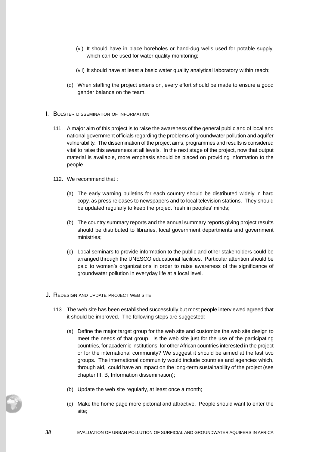- (vi) It should have in place boreholes or hand-dug wells used for potable supply, which can be used for water quality monitoring;
- (vii) It should have at least a basic water quality analytical laboratory within reach;
- (d) When staffing the project extension, every effort should be made to ensure a good gender balance on the team.
- I. BOLSTER DISSEMINATION OF INFORMATION
	- 111. A major aim of this project is to raise the awareness of the general public and of local and national government officials regarding the problems of groundwater pollution and aquifer vulnerability. The dissemination of the project aims, programmes and results is considered vital to raise this awareness at all levels. In the next stage of the project, now that output material is available, more emphasis should be placed on providing information to the people.
	- 112. We recommend that :
		- (a) The early warning bulletins for each country should be distributed widely in hard copy, as press releases to newspapers and to local television stations. They should be updated regularly to keep the project fresh in peoples' minds;
		- (b) The country summary reports and the annual summary reports giving project results should be distributed to libraries, local government departments and government ministries;
		- (c) Local seminars to provide information to the public and other stakeholders could be arranged through the UNESCO educational facilities. Particular attention should be paid to women's organizations in order to raise awareness of the significance of groundwater pollution in everyday life at a local level.
- J. REDESIGN AND UPDATE PROJECT WEB SITE
	- 113. The web site has been established successfully but most people interviewed agreed that it should be improved. The following steps are suggested:
		- (a) Define the major target group for the web site and customize the web site design to meet the needs of that group. Is the web site just for the use of the participating countries, for academic institutions, for other African countries interested in the project or for the international community? We suggest it should be aimed at the last two groups. The international community would include countries and agencies which, through aid, could have an impact on the long-term sustainability of the project (see chapter III. B, Information dissemination);
		- (b) Update the web site regularly, at least once a month;
		- (c) Make the home page more pictorial and attractive. People should want to enter the site;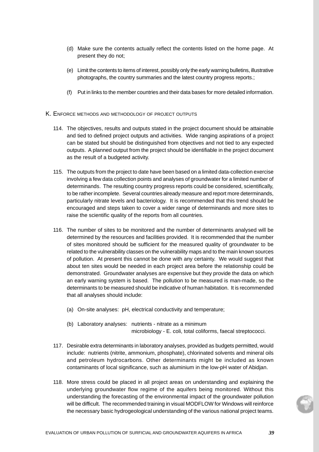- (d) Make sure the contents actually reflect the contents listed on the home page. At present they do not;
- (e) Limit the contents to items of interest, possibly only the early warning bulletins, illustrative photographs, the country summaries and the latest country progress reports.;
- (f) Put in links to the member countries and their data bases for more detailed information.
- K. ENFORCE METHODS AND METHODOLOGY OF PROJECT OUTPUTS
	- 114. The objectives, results and outputs stated in the project document should be attainable and tied to defined project outputs and activities. Wide ranging aspirations of a project can be stated but should be distinguished from objectives and not tied to any expected outputs. A planned output from the project should be identifiable in the project document as the result of a budgeted activity.
	- 115. The outputs from the project to date have been based on a limited data-collection exercise involving a few data collection points and analyses of groundwater for a limited number of determinands. The resulting country progress reports could be considered, scientifically, to be rather incomplete. Several countries already measure and report more determinands, particularly nitrate levels and bacteriology. It is recommended that this trend should be encouraged and steps taken to cover a wider range of determinands and more sites to raise the scientific quality of the reports from all countries.
	- 116. The number of sites to be monitored and the number of determinants analysed will be determined by the resources and facilities provided. It is recommended that the number of sites monitored should be sufficient for the measured quality of groundwater to be related to the vulnerability classes on the vulnerability maps and to the main known sources of pollution. At present this cannot be done with any certainty. We would suggest that about ten sites would be needed in each project area before the relationship could be demonstrated. Groundwater analyses are expensive but they provide the data on which an early warning system is based. The pollution to be measured is man-made, so the determinants to be measured should be indicative of human habitation. It is recommended that all analyses should include:
		- (a) On-site analyses: pH, electrical conductivity and temperature;
		- (b) Laboratory analyses: nutrients nitrate as a minimum microbiology - E. coli, total coliforms, faecal streptococci.
	- 117. Desirable extra determinants in laboratory analyses, provided as budgets permitted, would include: nutrients (nitrite, ammonium, phosphate), chlorinated solvents and mineral oils and petroleum hydrocarbons. Other determinants might be included as known contaminants of local significance, such as aluminium in the low-pH water of Abidjan.
	- 118. More stress could be placed in all project areas on understanding and explaining the underlying groundwater flow regime of the aquifers being monitored. Without this understanding the forecasting of the environmental impact of the groundwater pollution will be difficult. The recommended training in visual MODFLOW for Windows will reinforce the necessary basic hydrogeological understanding of the various national project teams.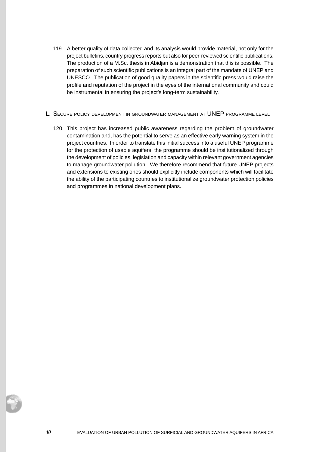- 119. A better quality of data collected and its analysis would provide material, not only for the project bulletins, country progress reports but also for peer-reviewed scientific publications. The production of a M.Sc. thesis in Abidjan is a demonstration that this is possible. The preparation of such scientific publications is an integral part of the mandate of UNEP and UNESCO. The publication of good quality papers in the scientific press would raise the profile and reputation of the project in the eyes of the international community and could be instrumental in ensuring the project's long-term sustainability.
- L. SECURE POLICY DEVELOPMENT IN GROUNDWATER MANAGEMENT AT UNEP PROGRAMME LEVEL
	- 120. This project has increased public awareness regarding the problem of groundwater contamination and, has the potential to serve as an effective early warning system in the project countries. In order to translate this initial success into a useful UNEP programme for the protection of usable aquifers, the programme should be institutionalized through the development of policies, legislation and capacity within relevant government agencies to manage groundwater pollution. We therefore recommend that future UNEP projects and extensions to existing ones should explicitly include components which will facilitate the ability of the participating countries to institutionalize groundwater protection policies and programmes in national development plans.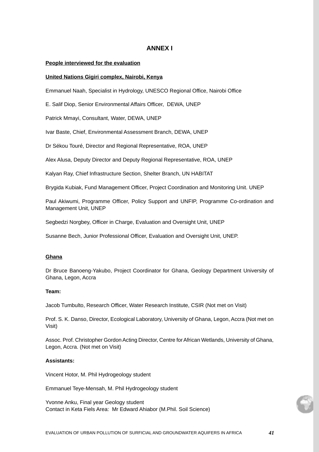## **ANNEX I**

### **People interviewed for the evaluation**

#### **United Nations Gigiri complex, Nairobi, Kenya**

Emmanuel Naah, Specialist in Hydrology, UNESCO Regional Office, Nairobi Office

E. Salif Diop, Senior Environmental Affairs Officer, DEWA, UNEP

Patrick Mmayi, Consultant, Water, DEWA, UNEP

Ivar Baste, Chief, Environmental Assessment Branch, DEWA, UNEP

Dr Sékou Touré, Director and Regional Representative, ROA, UNEP

Alex Alusa, Deputy Director and Deputy Regional Representative, ROA, UNEP

Kalyan Ray, Chief Infrastructure Section, Shelter Branch, UN HABITAT

Brygida Kubiak, Fund Management Officer, Project Coordination and Monitoring Unit. UNEP

Paul Akiwumi, Programme Officer, Policy Support and UNFIP, Programme Co-ordination and Management Unit, UNEP

Segbedzi Norgbey, Officer in Charge, Evaluation and Oversight Unit, UNEP

Susanne Bech, Junior Professional Officer, Evaluation and Oversight Unit, UNEP.

#### **Ghana**

Dr Bruce Banoeng-Yakubo, Project Coordinator for Ghana, Geology Department University of Ghana, Legon, Accra

### **Team:**

Jacob Tumbulto, Research Officer, Water Research Institute, CSIR (Not met on Visit)

Prof. S. K. Danso, Director, Ecological Laboratory, University of Ghana, Legon, Accra (Not met on Visit)

Assoc. Prof. Christopher Gordon Acting Director, Centre for African Wetlands, University of Ghana, Legon, Accra. (Not met on Visit)

#### **Assistants:**

Vincent Hotor, M. Phil Hydrogeology student

Emmanuel Teye-Mensah, M. Phil Hydrogeology student

Yvonne Anku, Final year Geology student Contact in Keta Fiels Area: Mr Edward Ahiabor (M.Phil. Soil Science)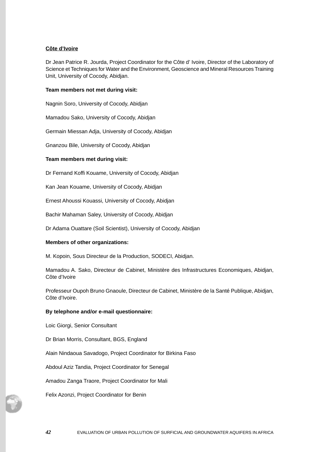## **Côte d'Ivoire**

Dr Jean Patrice R. Jourda, Project Coordinator for the Côte d' Ivoire, Director of the Laboratory of Science et Techniques for Water and the Environment, Geoscience and Mineral Resources Training Unit, University of Cocody, Abidjan.

### **Team members not met during visit:**

Nagnin Soro, University of Cocody, Abidjan

Mamadou Sako, University of Cocody, Abidjan

Germain Miessan Adja, University of Cocody, Abidjan

Gnanzou Bile, University of Cocody, Abidjan

### **Team members met during visit:**

Dr Fernand Koffi Kouame, University of Cocody, Abidjan

Kan Jean Kouame, University of Cocody, Abidjan

Ernest Ahoussi Kouassi, University of Cocody, Abidjan

Bachir Mahaman Saley, University of Cocody, Abidjan

Dr Adama Ouattare (Soil Scientist), University of Cocody, Abidjan

#### **Members of other organizations:**

M. Kopoin, Sous Directeur de la Production, SODECI, Abidjan.

Mamadou A. Sako, Directeur de Cabinet, Ministère des Infrastructures Economiques, Abidjan, Côte d'Ivoire

Professeur Oupoh Bruno Gnaoule, Directeur de Cabinet, Ministère de la Santé Publique, Abidjan, Côte d'Ivoire.

#### **By telephone and/or e-mail questionnaire:**

Loic Giorgi, Senior Consultant

Dr Brian Morris, Consultant, BGS, England

Alain Nindaoua Savadogo, Project Coordinator for Birkina Faso

Abdoul Aziz Tandia, Project Coordinator for Senegal

Amadou Zanga Traore, Project Coordinator for Mali

Felix Azonzi, Project Coordinator for Benin

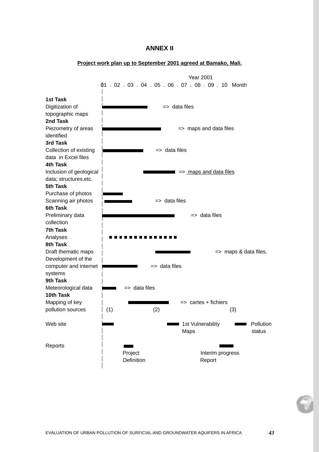## **ANNEX II**



**Project work plan up to September 2001 agreed at Bamako, Mali.**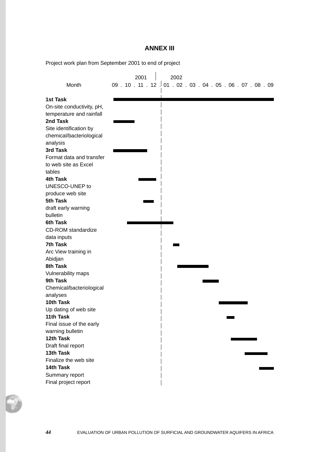# **ANNEX III**

Project work plan from September 2001 to end of project

|                                 | 2001         | 2002 |  |                                            |
|---------------------------------|--------------|------|--|--------------------------------------------|
| Month                           | 09.10.11.12. |      |  | 01 . 02 . 03 . 04 . 05 . 06 . 07 . 08 . 09 |
|                                 |              |      |  |                                            |
| <b>1st Task</b>                 |              |      |  |                                            |
| On-site conductivity, pH,       |              |      |  |                                            |
| temperature and rainfall        |              |      |  |                                            |
| 2nd Task                        |              |      |  |                                            |
| Site identification by          |              |      |  |                                            |
| chemical/bacteriological        |              |      |  |                                            |
| analysis                        |              |      |  |                                            |
| 3rd Task                        |              |      |  |                                            |
| Format data and transfer        |              |      |  |                                            |
| to web site as Excel            |              |      |  |                                            |
| tables                          |              |      |  |                                            |
| <b>4th Task</b>                 |              |      |  |                                            |
| UNESCO-UNEP to                  |              |      |  |                                            |
| produce web site<br>5th Task    |              |      |  |                                            |
|                                 |              |      |  |                                            |
| draft early warning<br>bulletin |              |      |  |                                            |
| 6th Task                        |              |      |  |                                            |
| <b>CD-ROM</b> standardize       |              |      |  |                                            |
| data inputs                     |              |      |  |                                            |
| 7th Task                        |              |      |  |                                            |
| Arc View training in            |              |      |  |                                            |
| Abidjan                         |              |      |  |                                            |
| 8th Task                        |              |      |  |                                            |
| Vulnerability maps              |              |      |  |                                            |
| 9th Task                        |              |      |  |                                            |
| Chemical/bacteriological        |              |      |  |                                            |
| analyses                        |              |      |  |                                            |
| 10th Task                       |              |      |  |                                            |
| Up dating of web site           |              |      |  |                                            |
| 11th Task                       |              |      |  |                                            |
| Final issue of the early        |              |      |  |                                            |
| warning bulletin                |              |      |  |                                            |
| 12th Task                       |              |      |  |                                            |
| Draft final report              |              |      |  |                                            |
| 13th Task                       |              |      |  |                                            |
| Finalize the web site           |              |      |  |                                            |
| 14th Task                       |              |      |  |                                            |
| Summary report                  |              |      |  |                                            |
| Final project report            |              |      |  |                                            |

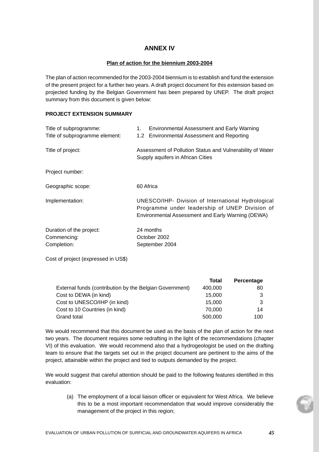# **ANNEX IV**

## **Plan of action for the biennium 2003-2004**

The plan of action recommended for the 2003-2004 biennium is to establish and fund the extension of the present project for a further two years. A draft project document for this extension based on projected funding by the Belgian Government has been prepared by UNEP. The draft project summary from this document is given below:

## **PROJECT EXTENSION SUMMARY**

| Title of subprogramme:                                 | <b>Environmental Assessment and Early Warning</b><br>1.                                                                                                   |
|--------------------------------------------------------|-----------------------------------------------------------------------------------------------------------------------------------------------------------|
| Title of subprogramme element:                         | 1.2 Environmental Assessment and Reporting                                                                                                                |
| Title of project:                                      | Assessment of Pollution Status and Vulnerability of Water<br>Supply aquifers in African Cities                                                            |
| Project number:                                        |                                                                                                                                                           |
| Geographic scope:                                      | 60 Africa                                                                                                                                                 |
| Implementation:                                        | UNESCO/IHP- Division of International Hydrological<br>Programme under leadership of UNEP Division of<br>Environmental Assessment and Early Warning (DEWA) |
| Duration of the project:<br>Commencing:<br>Completion: | 24 months<br>October 2002<br>September 2004                                                                                                               |

Cost of project (expressed in US\$)

|                                                         | <b>Total</b> | Percentage |
|---------------------------------------------------------|--------------|------------|
| External funds (contribution by the Belgian Government) | 400,000      | 80         |
| Cost to DEWA (in kind)                                  | 15.000       |            |
| Cost to UNESCO/IHP (in kind)                            | 15.000       | 3          |
| Cost to 10 Countries (in kind)                          | 70,000       | 14         |
| Grand total                                             | 500,000      | 100        |

We would recommend that this document be used as the basis of the plan of action for the next two years. The document requires some redrafting in the light of the recommendations (chapter VI) of this evaluation. We would recommend also that a hydrogeologist be used on the drafting team to ensure that the targets set out in the project document are pertinent to the aims of the project, attainable within the project and tied to outputs demanded by the project.

We would suggest that careful attention should be paid to the following features identified in this evaluation:

(a) The employment of a local liaison officer or equivalent for West Africa. We believe this to be a most important recommendation that would improve considerably the management of the project in this region;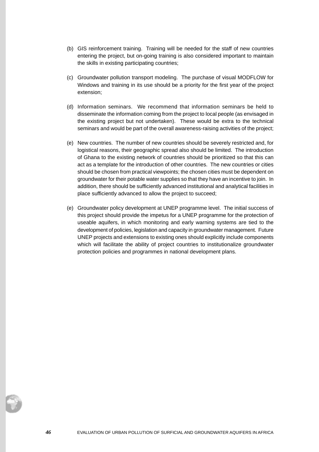- (b) GIS reinforcement training. Training will be needed for the staff of new countries entering the project, but on-going training is also considered important to maintain the skills in existing participating countries;
- (c) Groundwater pollution transport modeling. The purchase of visual MODFLOW for Windows and training in its use should be a priority for the first year of the project extension;
- (d) Information seminars. We recommend that information seminars be held to disseminate the information coming from the project to local people (as envisaged in the existing project but not undertaken). These would be extra to the technical seminars and would be part of the overall awareness-raising activities of the project;
- (e) New countries. The number of new countries should be severely restricted and, for logistical reasons, their geographic spread also should be limited. The introduction of Ghana to the existing network of countries should be prioritized so that this can act as a template for the introduction of other countries. The new countries or cities should be chosen from practical viewpoints; the chosen cities must be dependent on groundwater for their potable water supplies so that they have an incentive to join. In addition, there should be sufficiently advanced institutional and analytical facilities in place sufficiently advanced to allow the project to succeed;
- (e) Groundwater policy development at UNEP programme level. The initial success of this project should provide the impetus for a UNEP programme for the protection of useable aquifers, in which monitoring and early warning systems are tied to the development of policies, legislation and capacity in groundwater management. Future UNEP projects and extensions to existing ones should explicitly include components which will facilitate the ability of project countries to institutionalize groundwater protection policies and programmes in national development plans.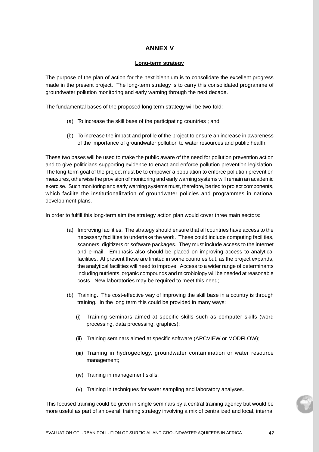## **ANNEX V**

### **Long-term strategy**

The purpose of the plan of action for the next biennium is to consolidate the excellent progress made in the present project. The long-term strategy is to carry this consolidated programme of groundwater pollution monitoring and early warning through the next decade.

The fundamental bases of the proposed long term strategy will be two-fold:

- (a) To increase the skill base of the participating countries ; and
- (b) To increase the impact and profile of the project to ensure an increase in awareness of the importance of groundwater pollution to water resources and public health.

These two bases will be used to make the public aware of the need for pollution prevention action and to give politicians supporting evidence to enact and enforce pollution prevention legislation. The long-term goal of the project must be to empower a population to enforce pollution prevention measures, otherwise the provision of monitoring and early warning systems will remain an academic exercise. Such monitoring and early warning systems must, therefore, be tied to project components, which facilite the institutionalization of groundwater policies and programmes in national development plans.

In order to fulfill this long-term aim the strategy action plan would cover three main sectors:

- (a) Improving facilities. The strategy should ensure that all countries have access to the necessary facilities to undertake the work. These could include computing facilities, scanners, digitizers or software packages. They must include access to the internet and e-mail. Emphasis also should be placed on improving access to analytical facilities. At present these are limited in some countries but, as the project expands, the analytical facilities will need to improve. Access to a wider range of determinants including nutrients, organic compounds and microbiology will be needed at reasonable costs. New laboratories may be required to meet this need;
- (b) Training. The cost-effective way of improving the skill base in a country is through training. In the long term this could be provided in many ways:
	- (i) Training seminars aimed at specific skills such as computer skills (word processing, data processing, graphics);
	- (ii) Training seminars aimed at specific software (ARCVIEW or MODFLOW);
	- (iii) Training in hydrogeology, groundwater contamination or water resource management;
	- (iv) Training in management skills;
	- (v) Training in techniques for water sampling and laboratory analyses.

This focused training could be given in single seminars by a central training agency but would be more useful as part of an overall training strategy involving a mix of centralized and local, internal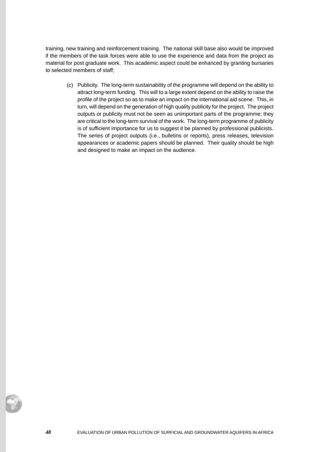training, new training and reinforcement training. The national skill base also would be improved if the members of the task forces were able to use the experience and data from the project as material for post graduate work. This academic aspect could be enhanced by granting bursaries to selected members of staff;

(c) Publicity. The long-term sustainability of the programme will depend on the ability to attract long-term funding. This will to a large extent depend on the ability to raise the profile of the project so as to make an impact on the international aid scene. This, in turn, will depend on the generation of high quality publicity for the project. The project outputs or publicity must not be seen as unimportant parts of the programme; they are critical to the long-term survival of the work. The long-term programme of publicity is of sufficient importance for us to suggest it be planned by professional publicists. The series of project outputs (i.e., bulletins or reports), press releases, television appearances or academic papers should be planned. Their quality should be high and designed to make an impact on the audience.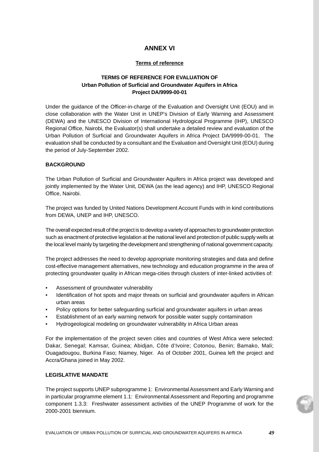# **ANNEX VI**

## **Terms of reference**

## **TERMS OF REFERENCE FOR EVALUATION OF Urban Pollution of Surficial and Groundwater Aquifers in Africa Project DA/9999-00-01**

Under the guidance of the Officer-in-charge of the Evaluation and Oversight Unit (EOU) and in close collaboration with the Water Unit in UNEP's Division of Early Warning and Assessment (DEWA) and the UNESCO Division of International Hydrological Programme (IHP), UNESCO Regional Office, Nairobi, the Evaluator(s) shall undertake a detailed review and evaluation of the Urban Pollution of Surficial and Groundwater Aquifers in Africa Project DA/9999-00-01. The evaluation shall be conducted by a consultant and the Evaluation and Oversight Unit (EOU) during the period of July-September 2002.

## **BACKGROUND**

The Urban Pollution of Surficial and Groundwater Aquifers in Africa project was developed and jointly implemented by the Water Unit, DEWA (as the lead agency) and IHP, UNESCO Regional Office, Nairobi.

The project was funded by United Nations Development Account Funds with in kind contributions from DEWA, UNEP and IHP, UNESCO.

The overall expected result of the project is to develop a variety of approaches to groundwater protection such as enactment of protective legislation at the national level and protection of public supply wells at the local level mainly by targeting the development and strengthening of national government capacity.

The project addresses the need to develop appropriate monitoring strategies and data and define cost-effective management alternatives, new technology and education programme in the area of protecting groundwater quality in African mega-cities through clusters of inter-linked activities of:

- Assessment of groundwater vulnerability
- Identification of hot spots and major threats on surficial and groundwater aquifers in African urban areas
- Policy options for better safeguarding surficial and groundwater aquifers in urban areas
- Establishment of an early warning network for possible water supply contamination
- Hydrogeological modeling on groundwater vulnerability in Africa Urban areas

For the implementation of the project seven cities and countries of West Africa were selected: Dakar, Senegal; Kamsar, Guinea; Abidjan, Côte d'Ivoire; Cotonou, Benin; Bamako, Mali; Ouagadougou, Burkina Faso; Niamey, Niger. As of October 2001, Guinea left the project and Accra/Ghana joined in May 2002.

## **LEGISLATIVE MANDATE**

The project supports UNEP subprogramme 1: Environmental Assessment and Early Warning and in particular programme element 1.1: Environmental Assessment and Reporting and programme component 1.3.3: Freshwater assessment activities of the UNEP Programme of work for the 2000-2001 biennium.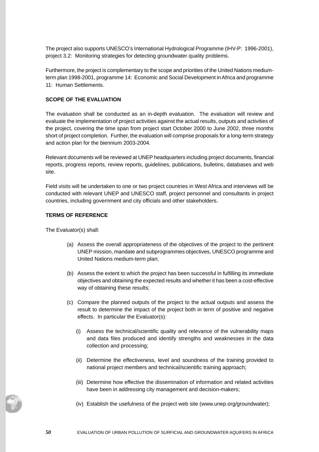The project also supports UNESCO's International Hydrological Programme (IHV-P: 1996-2001), project 3.2: Monitoring strategies for detecting groundwater quality problems.

Furthermore, the project is complementary to the scope and priorities of the United Nations mediumterm plan 1998-2001, programme 14: Economic and Social Development in Africa and programme 11: Human Settlements.

## **SCOPE OF THE EVALUATION**

The evaluation shall be conducted as an in-depth evaluation. The evaluation will review and evaluate the implementation of project activities against the actual results, outputs and activities of the project, covering the time span from project start October 2000 to June 2002, three months short of project completion. Further, the evaluation will comprise proposals for a long-term strategy and action plan for the biennium 2003-2004.

Relevant documents will be reviewed at UNEP headquarters including project documents, financial reports, progress reports, review reports, guidelines, publications, bulletins, databases and web site.

Field visits will be undertaken to one or two project countries in West Africa and interviews will be conducted with relevant UNEP and UNESCO staff, project personnel and consultants in project countries, including government and city officials and other stakeholders.

## **TERMS OF REFERENCE**

The Evaluator(s) shall:

- (a) Assess the overall appropriateness of the objectives of the project to the pertinent UNEP mission, mandate and subprogrammes objectives, UNESCO programme and United Nations medium-term plan;
- (b) Assess the extent to which the project has been successful in fulfilling its immediate objectives and obtaining the expected results and whether it has been a cost-effective way of obtaining these results;
- (c) Compare the planned outputs of the project to the actual outputs and assess the result to determine the impact of the project both in term of positive and negative effects. In particular the Evaluator(s):
	- (i) Assess the technical/scientific quality and relevance of the vulnerability maps and data files produced and identify strengths and weaknesses in the data collection and processing;
	- (ii) Determine the effectiveness, level and soundness of the training provided to national project members and technical/scientific training approach;
	- (iii) Determine how effective the dissemination of information and related activities have been in addressing city management and decision-makers;
	- (iv) Establish the usefulness of the project web site (www.unep.org/groundwater);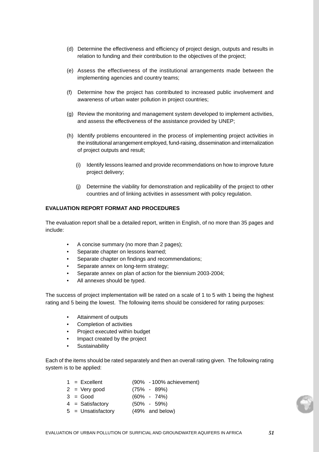- (d) Determine the effectiveness and efficiency of project design, outputs and results in relation to funding and their contribution to the objectives of the project;
- (e) Assess the effectiveness of the institutional arrangements made between the implementing agencies and country teams;
- (f) Determine how the project has contributed to increased public involvement and awareness of urban water pollution in project countries;
- (g) Review the monitoring and management system developed to implement activities, and assess the effectiveness of the assistance provided by UNEP;
- (h) Identify problems encountered in the process of implementing project activities in the institutional arrangement employed, fund-raising, dissemination and internalization of project outputs and result;
	- (i) Identify lessons learned and provide recommendations on how to improve future project delivery;
	- (j) Determine the viability for demonstration and replicability of the project to other countries and of linking activities in assessment with policy regulation.

### **EVALUATION REPORT FORMAT AND PROCEDURES**

The evaluation report shall be a detailed report, written in English, of no more than 35 pages and include:

- A concise summary (no more than 2 pages);
- Separate chapter on lessons learned;
- Separate chapter on findings and recommendations;
- Separate annex on long-term strategy;
- Separate annex on plan of action for the biennium 2003-2004;
- All annexes should be typed.

The success of project implementation will be rated on a scale of 1 to 5 with 1 being the highest rating and 5 being the lowest. The following items should be considered for rating purposes:

- Attainment of outputs
- Completion of activities
- Project executed within budget
- Impact created by the project
- **Sustainability**

Each of the items should be rated separately and then an overall rating given. The following rating system is to be applied:

- $1 =$  Excellent (90% 100% achievement)
- $2 = \text{Very good}$  (75% 89%)
- $3 = Good$  (60% 74%)
- 4 = Satisfactory (50% 59%)
- 5 = Unsatisfactory (49% and below)